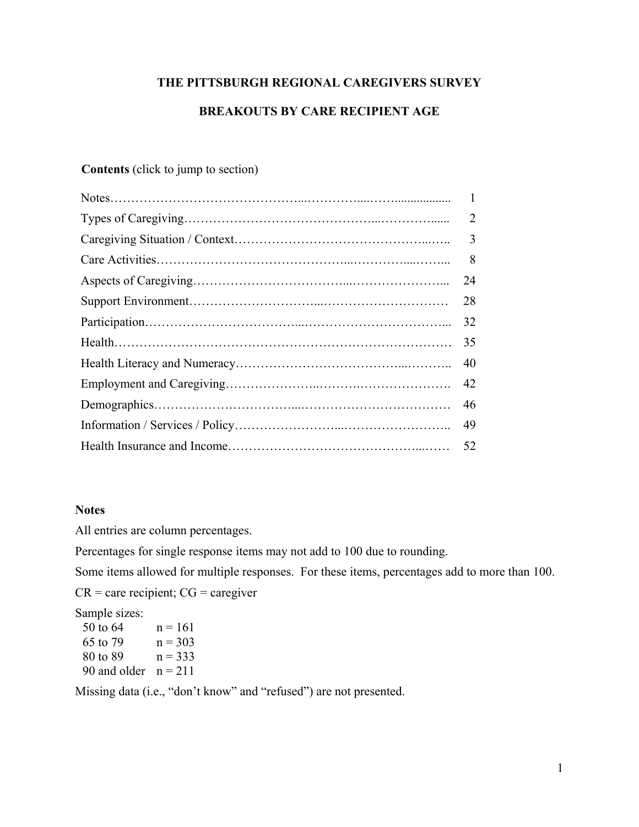# **THE PITTSBURGH REGIONAL CAREGIVERS SURVEY**

# **BREAKOUTS BY CARE RECIPIENT AGE**

# **Contents** (click to jump to section)

| $\overline{2}$ |
|----------------|
| 3              |
| 8              |
| 24             |
| 28             |
| 32             |
| 35             |
| 40             |
| 42             |
| 46             |
| 49             |
| 52             |
|                |

# **Notes**

All entries are column percentages.

Percentages for single response items may not add to 100 due to rounding.

Some items allowed for multiple responses. For these items, percentages add to more than 100.

 $CR =$  care recipient;  $CG =$  caregiver

Sample sizes:

| 50 to 64               | $n = 161$ |
|------------------------|-----------|
| 65 to 79               | $n = 303$ |
| 80 to 89               | $n = 333$ |
| 90 and older $n = 211$ |           |

Missing data (i.e., "don't know" and "refused") are not presented.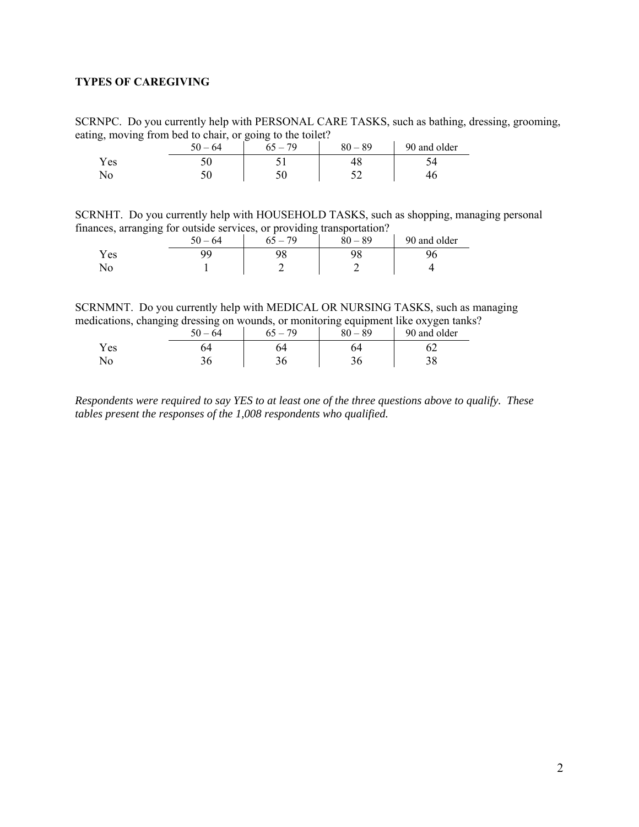## <span id="page-1-0"></span>**TYPES OF CAREGIVING**

SCRNPC. Do you currently help with PERSONAL CARE TASKS, such as bathing, dressing, grooming, eating, moving from bed to chair, or going to the toilet?

|            | $-64$<br>50 | . 70 | $-89$<br>80 | 90 and older |
|------------|-------------|------|-------------|--------------|
| Y es       | ◡◡          |      |             |              |
| <b>INU</b> | ◡           |      |             |              |

SCRNHT. Do you currently help with HOUSEHOLD TASKS, such as shopping, managing personal finances, arranging for outside services, or providing transportation?

|     | $-$<br>- | $50 - 64$ | -<br>- 70 | -<br>80<br>$-89$ | 90 and older |
|-----|----------|-----------|-----------|------------------|--------------|
| Yes |          | ۵a        | ີ         | nc               |              |
| No  |          |           |           |                  |              |

SCRNMNT. Do you currently help with MEDICAL OR NURSING TASKS, such as managing medications, changing dressing on wounds, or monitoring equipment like oxygen tanks?

|      | 50<br>$-64$ | 70 | $80 - 89$ | 90 and older |
|------|-------------|----|-----------|--------------|
| Y es |             |    | 54        |              |
| No   |             |    |           | oc           |

*Respondents were required to say YES to at least one of the three questions above to qualify. These tables present the responses of the 1,008 respondents who qualified.*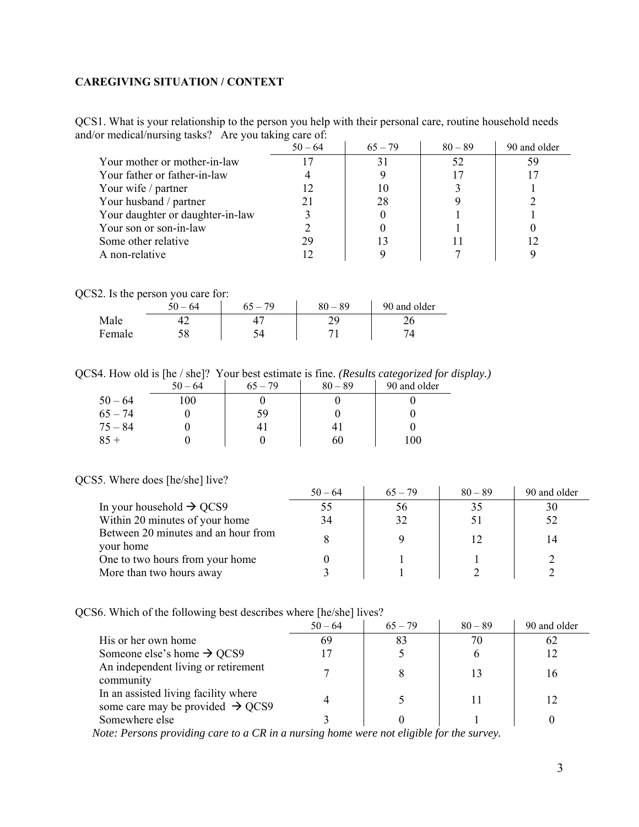## <span id="page-2-0"></span>**CAREGIVING SITUATION / CONTEXT**

QCS1. What is your relationship to the person you help with their personal care, routine household needs and/or medical/nursing tasks? Are you taking care of:

|                                  | $50 - 64$ | $65 - 79$ | $80 - 89$ | 90 and older |
|----------------------------------|-----------|-----------|-----------|--------------|
| Your mother or mother-in-law     |           | 31        | 52        | 59           |
| Your father or father-in-law     |           |           |           |              |
| Your wife / partner              |           | 10        |           |              |
| Your husband / partner           |           | 28        |           |              |
| Your daughter or daughter-in-law |           |           |           |              |
| Your son or son-in-law           |           |           |           |              |
| Some other relative              | 29        |           |           |              |
| A non-relative                   |           |           |           |              |

QCS2. Is the person you care for:

|        | $-64$<br>ЭU | 70 | $-89$ | 90 and older |
|--------|-------------|----|-------|--------------|
| Male   |             |    |       |              |
| Female |             |    |       |              |

QCS4. How old is [he / she]? Your best estimate is fine. *(Results categorized for display.)*

|           | $50 - 64$ | $65 - 79$ | $80 - 89$      | 90 and older |
|-----------|-----------|-----------|----------------|--------------|
| $50 - 64$ | 100       |           |                |              |
| $65 - 74$ |           | 59        |                |              |
| $75 - 84$ |           | 41        | 4 <sub>1</sub> |              |
| $85 +$    |           |           | 60             | 100          |

#### QCS5. Where does [he/she] live?

|                                                  | $50 - 64$ | $65 - 79$ | $80 - 89$ | 90 and older |
|--------------------------------------------------|-----------|-----------|-----------|--------------|
| In your household $\rightarrow$ QCS9             | 55        | 56        | 35        | 30           |
| Within 20 minutes of your home                   | 34        | 32        | 51        | 52           |
| Between 20 minutes and an hour from<br>your home |           |           | 12        | 14           |
| One to two hours from your home                  |           |           |           |              |
| More than two hours away                         |           |           |           |              |

QCS6. Which of the following best describes where [he/she] lives?

|                                                                                      | . .       |           |           |              |
|--------------------------------------------------------------------------------------|-----------|-----------|-----------|--------------|
|                                                                                      | $50 - 64$ | $65 - 79$ | $80 - 89$ | 90 and older |
| His or her own home                                                                  | 69        | 83        | 70        |              |
| Someone else's home $\rightarrow$ QCS9                                               |           |           |           |              |
| An independent living or retirement<br>community                                     |           |           | 13        | 16           |
| In an assisted living facility where<br>some care may be provided $\rightarrow$ QCS9 |           |           |           |              |
| Somewhere else                                                                       |           |           |           |              |

 *Note: Persons providing care to a CR in a nursing home were not eligible for the survey.*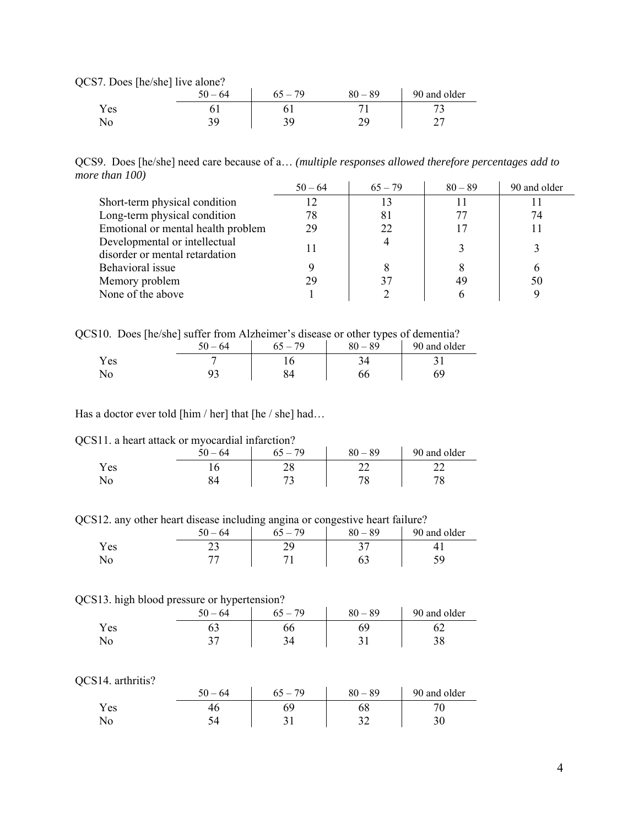QCS7. Does [he/she] live alone?

| $-$<br>. | $50 - 64$ | $65 - 79$ | $80 - 89$ | 90 and older |
|----------|-----------|-----------|-----------|--------------|
| Y es     |           |           |           | -            |
| No       |           |           |           |              |

QCS9. Does [he/she] need care because of a… *(multiple responses allowed therefore percentages add to more than 100)* 

|                                    | $50 - 64$ | $65 - 79$ | $80 - 89$ | 90 and older |
|------------------------------------|-----------|-----------|-----------|--------------|
| Short-term physical condition      |           | 13        |           |              |
| Long-term physical condition       | 78        | 81        |           | 74           |
| Emotional or mental health problem | 29        | 22        |           |              |
| Developmental or intellectual      |           |           |           |              |
| disorder or mental retardation     |           |           |           |              |
| Behavioral issue                   |           |           |           | b            |
| Memory problem                     | 29        |           | 49        | 50           |
| None of the above                  |           |           |           |              |

QCS10. Does [he/she] suffer from Alzheimer's disease or other types of dementia?

|      | 50<br>$-64$ | 79 | ັ້ນ 1<br>$80 - 89$ | 90 and older |
|------|-------------|----|--------------------|--------------|
| r es |             |    |                    |              |
|      |             |    |                    |              |

Has a doctor ever told [him / her] that [he / she] had...

QCS11. a heart attack or myocardial infarction?

|      | $-64$ | $-79$<br>65 | $80 - 89$ | 90 and older |
|------|-------|-------------|-----------|--------------|
| Y es | ⊥ ∪   | ∠∪          |           | $-$          |
| NQ   |       |             |           |              |

QCS12. any other heart disease including angina or congestive heart failure?

|       | $\epsilon$ $\alpha$<br>$-64$<br>י | 70<br>$\equiv$ | 89<br>$-80 -$ | 90 and older |
|-------|-----------------------------------|----------------|---------------|--------------|
| Y es  | ر ب                               |                |               |              |
| 1 N U |                                   |                |               |              |

#### QCS13. high blood pressure or hypertension?

|      | 64<br>50<br>` — . | 79<br>$-$ | $80 - 89$ | 90 and older |
|------|-------------------|-----------|-----------|--------------|
| Y es |                   | υυ        | ъч        |              |
| ΝO   |                   |           |           |              |

#### QCS14. arthritis?

|      | $-64$ | 79<br>$\epsilon$ $\epsilon$ | $-89$<br>80 | 90 and older |
|------|-------|-----------------------------|-------------|--------------|
| Y es |       |                             | vð          |              |
| No   |       |                             |             | υU           |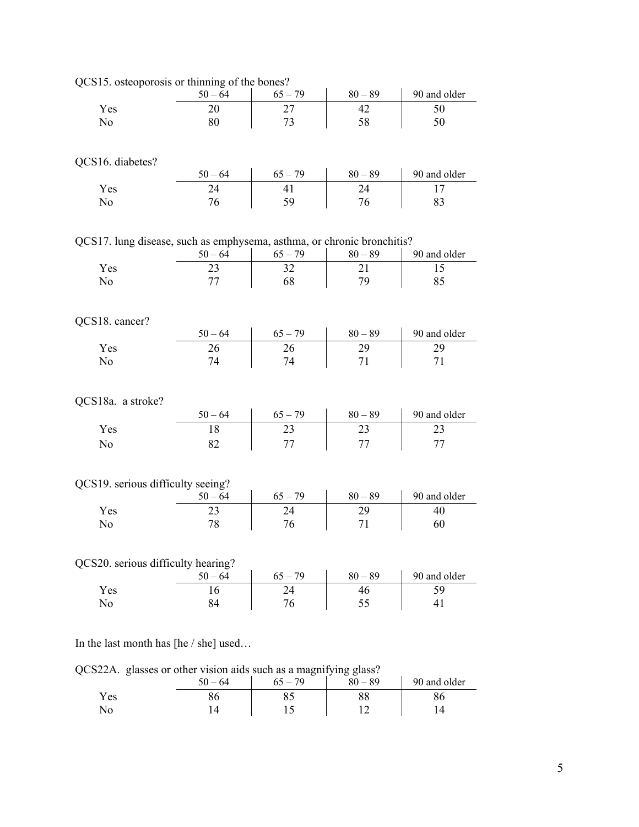| QCS15. osteoporosis or thinning of the bones?                          |           |           |           |              |
|------------------------------------------------------------------------|-----------|-----------|-----------|--------------|
|                                                                        | $50 - 64$ | $65 - 79$ | $80 - 89$ | 90 and older |
| Yes                                                                    | 20        | 27        | 42        | 50           |
| No                                                                     | 80        | 73        | 58        | 50           |
|                                                                        |           |           |           |              |
|                                                                        |           |           |           |              |
| QCS16. diabetes?                                                       |           |           |           |              |
|                                                                        | $50 - 64$ | $65 - 79$ | $80 - 89$ | 90 and older |
| Yes                                                                    | 24        | 41        | 24        | 17           |
| No                                                                     | 76        | 59        | 76        | 83           |
|                                                                        |           |           |           |              |
|                                                                        |           |           |           |              |
| QCS17. lung disease, such as emphysema, asthma, or chronic bronchitis? |           |           |           |              |
|                                                                        | $50 - 64$ | $65 - 79$ | $80 - 89$ | 90 and older |
| Yes                                                                    | 23        | 32        | 21        | 15           |
| No                                                                     | 77        | 68        | 79        | 85           |
|                                                                        |           |           |           |              |
|                                                                        |           |           |           |              |
| QCS18. cancer?                                                         |           |           |           |              |
|                                                                        | $50 - 64$ | $65 - 79$ | $80 - 89$ | 90 and older |
| Yes                                                                    | 26        | 26        | 29        | 29           |
| No                                                                     | 74        | 74        | 71        | 71           |
|                                                                        |           |           |           |              |
|                                                                        |           |           |           |              |
| QCS18a. a stroke?                                                      |           |           |           |              |
|                                                                        | $50 - 64$ | $65 - 79$ | $80 - 89$ | 90 and older |
| Yes                                                                    | 18        | 23        | 23        | 23           |
|                                                                        |           |           |           |              |
| No                                                                     | 82        | 77        | 77        | 77           |
|                                                                        |           |           |           |              |
|                                                                        |           |           |           |              |
| QCS19. serious difficulty seeing?                                      |           |           |           |              |
|                                                                        | $50 - 64$ | $65 - 79$ | $80 - 89$ | 90 and older |
| Yes                                                                    | 23        | 24        | 29        | 40           |
| No                                                                     | 78        | 76        | 71        | 60           |
|                                                                        |           |           |           |              |
|                                                                        |           |           |           |              |
| QCS20. serious difficulty hearing?                                     |           |           |           |              |
|                                                                        | $50 - 64$ | $65 - 79$ | $80 - 89$ | 90 and older |
| Yes                                                                    | 16        | 24        | 46        | 59           |
| No                                                                     | 84        | 76        | 55        | 41           |
|                                                                        |           |           |           |              |
|                                                                        |           |           |           |              |

 $\mathbf{F}$  is or thinning of the be

In the last month has [he / she] used…

QCS22A. glasses or other vision aids such as a magnifying glass?

| $\circ$   | $50 - 64$ | $\circ$<br>$65 - 79$ | $\circ$<br>$80 - 89$ | 90 and older |
|-----------|-----------|----------------------|----------------------|--------------|
| Yes<br>No |           |                      |                      |              |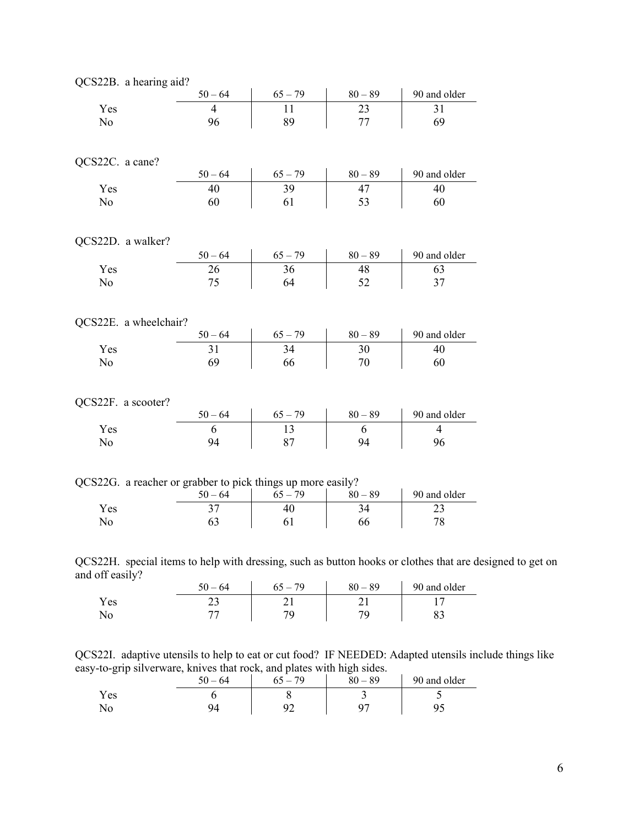| QCS22B. a hearing aid? |                                                                          |           |           |                |
|------------------------|--------------------------------------------------------------------------|-----------|-----------|----------------|
|                        | $50 - 64$                                                                | $65 - 79$ | $80 - 89$ | 90 and older   |
| Yes                    | 4                                                                        | 11        | 23        | 31             |
| No                     | 96                                                                       | 89        | 77        | 69             |
|                        |                                                                          |           |           |                |
|                        |                                                                          |           |           |                |
| QCS22C. a cane?        |                                                                          |           |           |                |
|                        | $50 - 64$                                                                | $65 - 79$ | $80 - 89$ | 90 and older   |
| Yes                    | 40                                                                       | 39        | 47        | 40             |
| No                     | 60                                                                       | 61        | 53        | 60             |
|                        |                                                                          |           |           |                |
|                        |                                                                          |           |           |                |
| QCS22D. a walker?      |                                                                          |           |           |                |
|                        | $50 - 64$                                                                | $65 - 79$ | $80 - 89$ | 90 and older   |
| Yes                    | 26                                                                       | 36        | 48        | 63             |
| No                     | 75                                                                       | 64        | 52        | 37             |
|                        |                                                                          |           |           |                |
|                        |                                                                          |           |           |                |
| QCS22E. a wheelchair?  |                                                                          |           |           |                |
|                        | $50 - 64$                                                                | $65 - 79$ | $80 - 89$ | 90 and older   |
| Yes                    | 31                                                                       | 34        | 30        | 40             |
| No                     | 69                                                                       | 66        | 70        | 60             |
|                        |                                                                          |           |           |                |
|                        |                                                                          |           |           |                |
| QCS22F. a scooter?     |                                                                          |           |           |                |
|                        | $50 - 64$                                                                | $65 - 79$ | $80 - 89$ | 90 and older   |
| Yes                    | 6                                                                        | 13        | 6         | $\overline{4}$ |
| No                     | 94                                                                       | 87        | 94        | 96             |
|                        |                                                                          |           |           |                |
|                        |                                                                          |           |           |                |
|                        | QCS22G. a reacher or grabber to pick things up more easily?<br>$50 - 64$ |           | $80 - 89$ | 90 and older   |
|                        |                                                                          | $65 - 79$ |           |                |
| Yes                    | 37                                                                       | 40        | 34        | 23             |
| No                     | 63                                                                       | 61        | 66        | 78             |

QCS22H. special items to help with dressing, such as button hooks or clothes that are designed to get on and off easily?

| .    | 64<br>$\overline{\phantom{0}}$ | 79<br>$\epsilon$ $\epsilon$ | $-89$<br>80 | 90 and older |
|------|--------------------------------|-----------------------------|-------------|--------------|
| Y es | ر ب                            |                             |             |              |
| 1NO  |                                |                             |             | ິ            |

QCS22I. adaptive utensils to help to eat or cut food? IF NEEDED: Adapted utensils include things like easy-to-grip silverware, knives that rock, and plates with high sides.

| ັ          | 50<br>$-64$ | 79 | . .<br>$-89$<br>oΛ | 90 and older |
|------------|-------------|----|--------------------|--------------|
| Y es       |             |    |                    |              |
| <b>AVA</b> |             |    | ∩~                 | ັ            |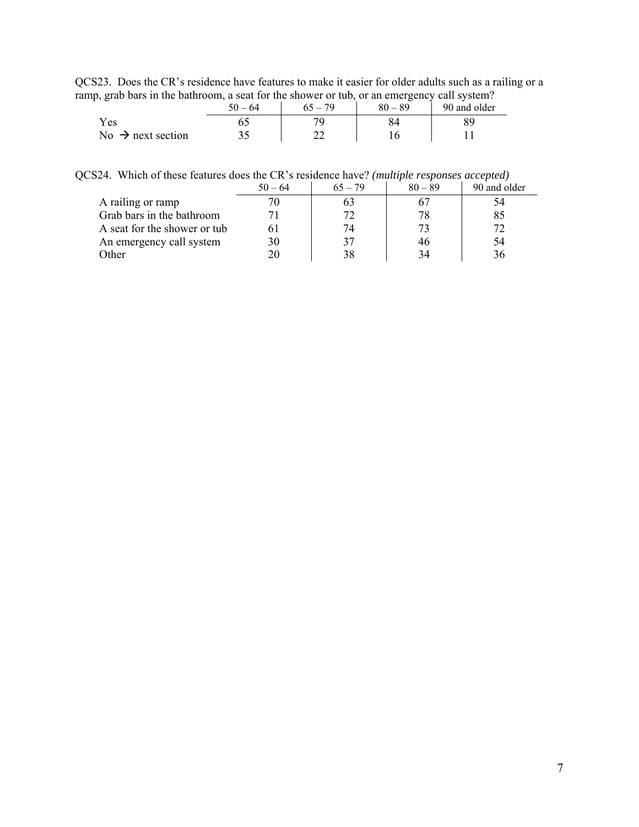QCS23. Does the CR's residence have features to make it easier for older adults such as a railing or a ramp, grab bars in the bathroom, a seat for the shower or tub, or an emergency call system?

| $\overline{\phantom{a}}$      | $50 - 64$ | $65 - 79$ | ▱<br>$80 - 89$ | 90 and older |
|-------------------------------|-----------|-----------|----------------|--------------|
| Yes                           |           |           |                |              |
| No $\rightarrow$ next section | ر. ر      | ົ         |                |              |

| QCS24. Which of these features does the CR's residence have? (multiple responses accepted) |
|--------------------------------------------------------------------------------------------|
|--------------------------------------------------------------------------------------------|

|                              | $50 - 64$ | $65 - 79$ | $80 - 89$ | 90 and older |
|------------------------------|-----------|-----------|-----------|--------------|
| A railing or ramp            |           | 0.1       |           | 34           |
| Grab bars in the bathroom    |           |           | 78        | 85           |
| A seat for the shower or tub |           | 74        | 73        | 72           |
| An emergency call system     | 30        | 37        | 46        | 54           |
| Other                        |           | 38        | 34        | 36           |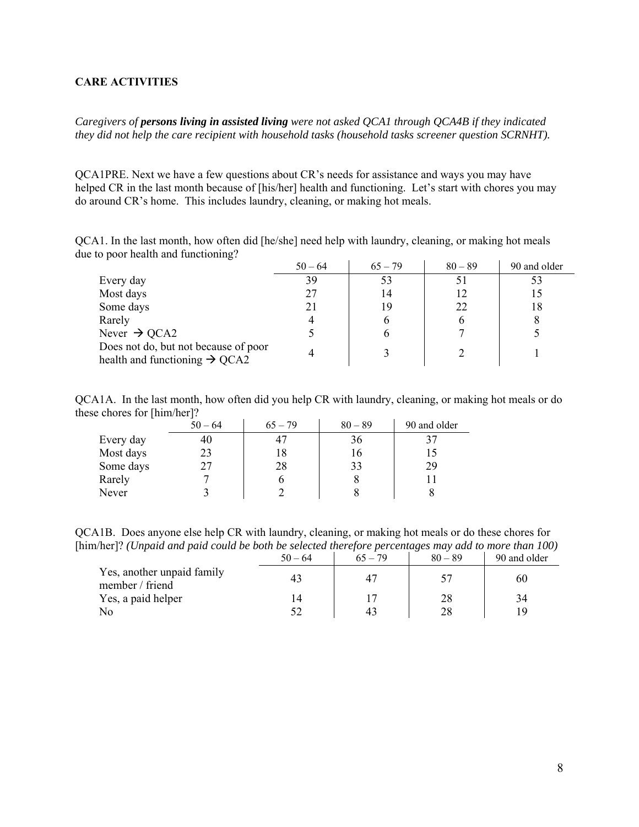### <span id="page-7-0"></span>**CARE ACTIVITIES**

*Caregivers of persons living in assisted living were not asked QCA1 through QCA4B if they indicated they did not help the care recipient with household tasks (household tasks screener question SCRNHT).* 

QCA1PRE. Next we have a few questions about CR's needs for assistance and ways you may have helped CR in the last month because of [his/her] health and functioning. Let's start with chores you may do around CR's home. This includes laundry, cleaning, or making hot meals.

QCA1. In the last month, how often did [he/she] need help with laundry, cleaning, or making hot meals due to poor health and functioning?

|                                                                                   | $50 - 64$ | $65 - 79$ | $80 - 89$    | 90 and older |
|-----------------------------------------------------------------------------------|-----------|-----------|--------------|--------------|
| Every day                                                                         | 39        | 53        |              |              |
| Most days                                                                         | 27        | 14        |              |              |
| Some days                                                                         |           | 19        | 22           | 18           |
| Rarely                                                                            |           |           | <sub>0</sub> |              |
| Never $\rightarrow$ QCA2                                                          |           |           |              |              |
| Does not do, but not because of poor<br>health and functioning $\rightarrow$ QCA2 |           |           |              |              |

QCA1A. In the last month, how often did you help CR with laundry, cleaning, or making hot meals or do these chores for [him/her]?  $\mathcal{L}_{\text{max}}$ 

|           | $50 - 64$ | $65 - 79$ | $80 - 89$ | 90 and older |
|-----------|-----------|-----------|-----------|--------------|
| Every day | 40        |           | 36        | 37           |
| Most days | 23        |           | 16        |              |
| Some days | 27        | 28        | 33        | 29           |
| Rarely    |           |           |           |              |
| Never     |           |           |           |              |

QCA1B. Does anyone else help CR with laundry, cleaning, or making hot meals or do these chores for [him/her]? *(Unpaid and paid could be both be selected therefore percentages may add to more than 100)*  $50 - 64$  65 – 79 80 – 89 90 and older

|                                               | $20 - 04$ | $0.3 - 19$ | $\delta U - \delta Y$ | 90 and older |
|-----------------------------------------------|-----------|------------|-----------------------|--------------|
| Yes, another unpaid family<br>member / friend |           |            |                       | 60           |
| Yes, a paid helper                            |           |            |                       | 34           |
| No                                            |           | 4:         | 28                    | 10           |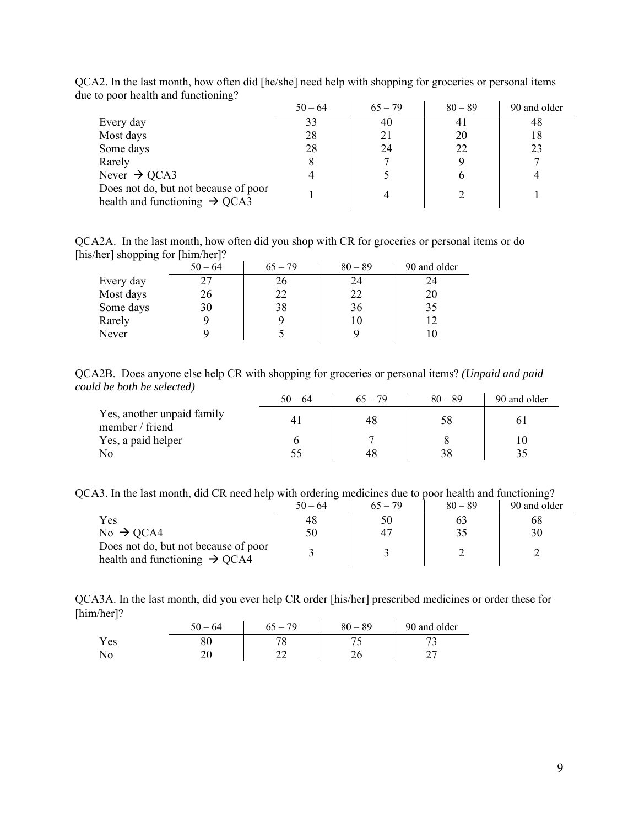|                                                                                   | $50 - 64$ | $65 - 79$ | $80 - 89$ | 90 and older |
|-----------------------------------------------------------------------------------|-----------|-----------|-----------|--------------|
| Every day                                                                         | 33        | 40        | 41        | 48           |
| Most days                                                                         | 28        | 21        | 20        | 18           |
| Some days                                                                         | 28        | 24        | 22        | 23           |
| Rarely                                                                            | δ         |           |           |              |
| Never $\rightarrow$ QCA3                                                          |           |           |           |              |
| Does not do, but not because of poor<br>health and functioning $\rightarrow$ QCA3 |           |           |           |              |

QCA2. In the last month, how often did [he/she] need help with shopping for groceries or personal items due to poor health and functioning?

QCA2A. In the last month, how often did you shop with CR for groceries or personal items or do [his/her] shopping for [him/her]?

|           | $50 - 64$ | $65 - 79$ | $80 - 89$ | 90 and older |
|-----------|-----------|-----------|-----------|--------------|
| Every day | 27        | 26        | 24        | 24           |
| Most days | 26        | 22        | 22        | 20           |
| Some days | 30        | 38        | 36        | 35           |
| Rarely    |           |           | 10        | 1 ລ          |
| Never     |           |           |           |              |

QCA2B. Does anyone else help CR with shopping for groceries or personal items? *(Unpaid and paid could be both be selected)* 

|                                               | $50 - 64$ | $65 - 79$ | $80 - 89$ | 90 and older |
|-----------------------------------------------|-----------|-----------|-----------|--------------|
| Yes, another unpaid family<br>member / friend |           | 48        | 58        |              |
| Yes, a paid helper                            |           |           |           |              |
| No                                            | 55        | 48        | 38        | 35           |

QCA3. In the last month, did CR need help with ordering medicines due to poor health and functioning?

|                                                                                   | $50 - 64$ | $65 - 79$ | $80 - 89$ | 90 and older |
|-----------------------------------------------------------------------------------|-----------|-----------|-----------|--------------|
| Yes                                                                               | 48        | 50        |           | 68           |
| $No \rightarrow QCA4$                                                             | 50        | 47        | 35        | 30           |
| Does not do, but not because of poor<br>health and functioning $\rightarrow$ QCA4 |           |           |           |              |

QCA3A. In the last month, did you ever help CR order [his/her] prescribed medicines or order these for [him/her]?

|      | $50 -$<br>$-64$ | 65<br>79<br>$\overline{\phantom{a}}$ | $-89$<br>80 | 90 and older |
|------|-----------------|--------------------------------------|-------------|--------------|
| Y es | oη<br>ov        | O                                    |             |              |
| No   | ∠∪              | <u>__</u>                            |             |              |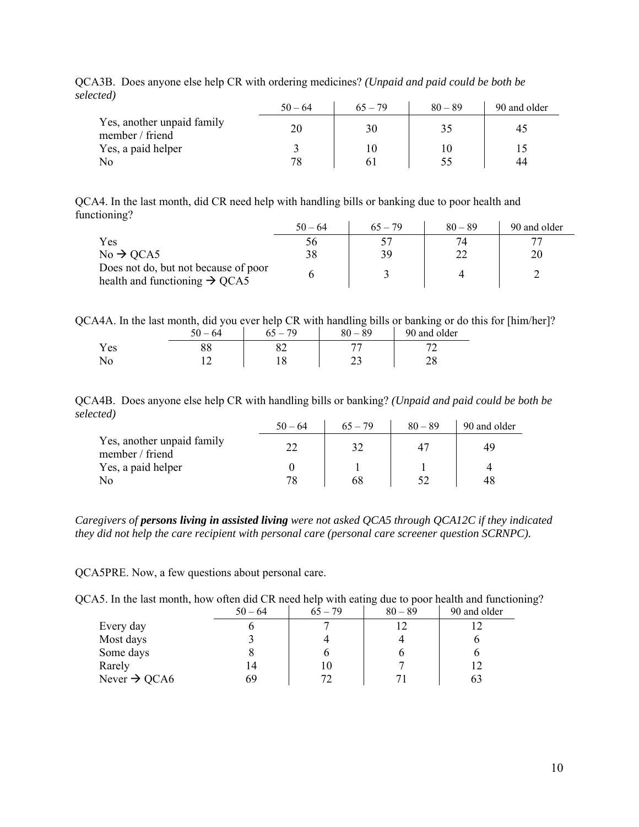| <u>cica /</u>                                 | $50 - 64$ | $65 - 79$ | $80 - 89$ | 90 and older |
|-----------------------------------------------|-----------|-----------|-----------|--------------|
| Yes, another unpaid family<br>member / friend | 20        | 30        | 35        | 45           |
| Yes, a paid helper                            |           | 10        |           |              |
| No                                            | 78        | 6         |           | 44           |

QCA3B. Does anyone else help CR with ordering medicines? *(Unpaid and paid could be both be selected)*

QCA4. In the last month, did CR need help with handling bills or banking due to poor health and functioning?

|                                                                                   | $50 - 64$ | $65 - 79$ | $80 - 89$ | 90 and older |
|-----------------------------------------------------------------------------------|-----------|-----------|-----------|--------------|
| Yes                                                                               | 56        |           |           |              |
| $No \rightarrow QCA5$                                                             | 38        | 39        | 22        | 20           |
| Does not do, but not because of poor<br>health and functioning $\rightarrow$ QCA5 |           |           |           |              |

QCA4A. In the last month, did you ever help CR with handling bills or banking or do this for [him/her]?

|     | $-64$<br>50 | 79<br>h | $-89$<br>80. | 90 and older |
|-----|-------------|---------|--------------|--------------|
| Yes |             | ←ے      |              |              |
|     |             |         |              |              |

QCA4B. Does anyone else help CR with handling bills or banking? *(Unpaid and paid could be both be selected)*

|                                               | $50 - 64$ | $65 - 79$ | $80 - 89$ | 90 and older |
|-----------------------------------------------|-----------|-----------|-----------|--------------|
| Yes, another unpaid family<br>member / friend |           |           |           | 49           |
| Yes, a paid helper                            |           |           |           |              |
| N <sub>0</sub>                                | 78        | 68        |           | 48           |

*Caregivers of persons living in assisted living were not asked QCA5 through QCA12C if they indicated they did not help the care recipient with personal care (personal care screener question SCRNPC).* 

QCA5PRE. Now, a few questions about personal care.

| OCA5. In the last month, how often did CR need help with eating due to poor health and functioning? |  |  |  |
|-----------------------------------------------------------------------------------------------------|--|--|--|
|                                                                                                     |  |  |  |

|                          | $50 - 64$ | $65 - 79$ | $80 - 89$ | 90 and older |
|--------------------------|-----------|-----------|-----------|--------------|
| Every day                |           |           |           |              |
| Most days                |           |           |           |              |
| Some days                |           |           |           |              |
| Rarely                   | 14        | 10        |           |              |
| Never $\rightarrow$ QCA6 | 69        | 72        |           | οź           |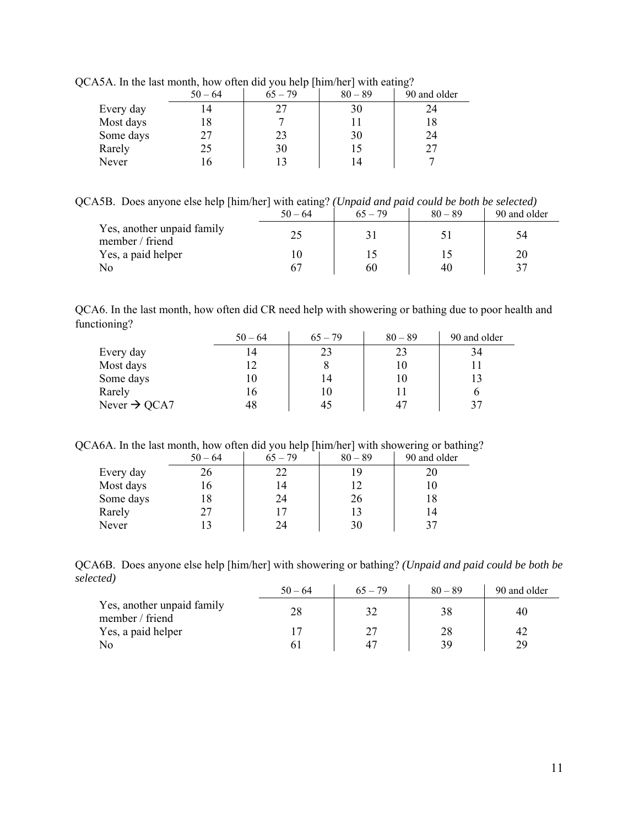|           | $50 - 64$ | $65 - 79$ | $80 - 89$ | 90 and older |
|-----------|-----------|-----------|-----------|--------------|
| Every day |           |           | 30        |              |
| Most days |           |           |           |              |
| Some days | 27        | 23        | 30        | 24           |
| Rarely    | 25        | 30        |           |              |
| Never     |           |           | 14        |              |

QCA5A. In the last month, how often did you help [him/her] with eating?

QCA5B. Does anyone else help [him/her] with eating? *(Unpaid and paid could be both be selected)*

|                                               | ຼ<br>$50 - 64$ | $65 - 79$ | $80 - 89$ | 90 and older |
|-----------------------------------------------|----------------|-----------|-----------|--------------|
| Yes, another unpaid family<br>member / friend |                |           |           | 54           |
| Yes, a paid helper                            |                |           |           |              |
| No                                            |                | 60        | 40        |              |

QCA6. In the last month, how often did CR need help with showering or bathing due to poor health and functioning?

|                          | $50 - 64$ | $65 - 79$ | $80 - 89$ | 90 and older |
|--------------------------|-----------|-----------|-----------|--------------|
| Every day                | 4         | 23        | 23        | 34           |
| Most days                |           |           | 10        |              |
| Some days                | 10        | 14        | 10        |              |
| Rarely                   | 16.       |           | 11        |              |
| Never $\rightarrow$ QCA7 | 48        | 45        | 47        | 37           |

QCA6A. In the last month, how often did you help [him/her] with showering or bathing?

|           | $50 - 64$ | $65 - 79$ | $80 - 89$ | 90 and older |
|-----------|-----------|-----------|-----------|--------------|
| Every day | 26        | 22        | 19        | 20           |
| Most days | 16        | 14        | 12        | 10           |
| Some days | 18        | 24        | 26        | 18           |
| Rarely    | 27        | 17        |           | 14           |
| Never     |           | 24        | 30        | 37           |

QCA6B. Does anyone else help [him/her] with showering or bathing? *(Unpaid and paid could be both be selected)*

|                                               | $50 - 64$ | $65 - 79$ | $80 - 89$ | 90 and older |
|-----------------------------------------------|-----------|-----------|-----------|--------------|
| Yes, another unpaid family<br>member / friend | 28        |           | 38        | 40           |
| Yes, a paid helper                            |           | フラ        | 28        | 42           |
| No                                            |           | 47        | 39        | 29           |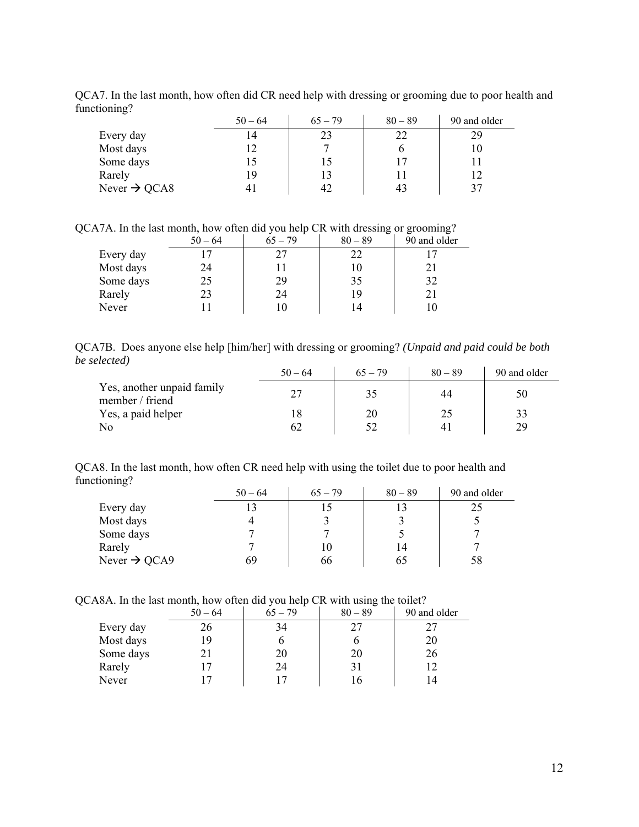QCA7. In the last month, how often did CR need help with dressing or grooming due to poor health and functioning?

| $\circ$                  | $50 - 64$ | $65 - 79$ | $80 - 89$ | 90 and older |
|--------------------------|-----------|-----------|-----------|--------------|
| Every day                | ا 4       | 23        | 22        | 29           |
| Most days                |           |           |           | 10           |
| Some days                |           | 15        | 17        |              |
| Rarely                   | 19        |           |           |              |
| Never $\rightarrow$ QCA8 |           | 42        | 43        | 37           |

QCA7A. In the last month, how often did you help CR with dressing or grooming?

|           | $50 - 64$ | $65 - 79$ | $\tilde{\phantom{a}}$<br>$80 - 89$ | 90 and older |
|-----------|-----------|-----------|------------------------------------|--------------|
| Every day |           |           | 22                                 |              |
| Most days | 24        |           | 10                                 | 21           |
| Some days | 25        | 29        | 35                                 | 32           |
| Rarely    | 23        | 24        | 19                                 |              |
| Never     |           |           | 14                                 |              |

QCA7B. Does anyone else help [him/her] with dressing or grooming? *(Unpaid and paid could be both be selected)*

|                                               | $50 - 64$ | $65 - 79$ | $80 - 89$ | 90 and older |
|-----------------------------------------------|-----------|-----------|-----------|--------------|
| Yes, another unpaid family<br>member / friend | 27        | 35        | 44        | 50           |
| Yes, a paid helper                            |           | 20        | 25        |              |
| No                                            | 62        |           | 4         | 29           |

QCA8. In the last month, how often CR need help with using the toilet due to poor health and functioning?

|                          | $50 - 64$ | $65 - 79$ | $80 - 89$ | 90 and older |
|--------------------------|-----------|-----------|-----------|--------------|
| Every day                |           |           |           |              |
| Most days                |           |           |           |              |
| Some days                |           |           |           |              |
| Rarely                   |           |           | 14        |              |
| Never $\rightarrow$ QCA9 | 69        | 66        | 65        | 58           |

QCA8A. In the last month, how often did you help CR with using the toilet?

|           | $50 - 64$ | . .<br>$65 - 79$ | $80 - 89$ | 90 and older |
|-----------|-----------|------------------|-----------|--------------|
| Every day | 26        | 34               | 27        |              |
| Most days | 19        |                  |           | 20           |
| Some days |           | 20               | 20        | 26           |
| Rarely    |           | 24               | 31        |              |
| Never     |           |                  |           | 4            |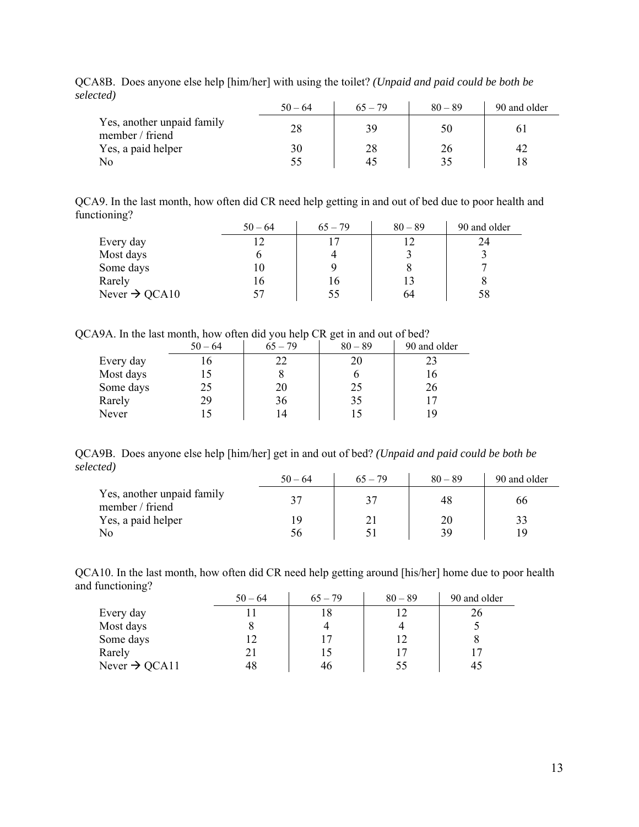| <u>coca /</u>                                 | $50 - 64$ | $65 - 79$ | $80 - 89$    | 90 and older |
|-----------------------------------------------|-----------|-----------|--------------|--------------|
| Yes, another unpaid family<br>member / friend | 28        | 39        | $50^{\circ}$ |              |
| Yes, a paid helper                            | 30        | 28        | 26           | 42           |
| No                                            | 55        | 45        |              |              |

QCA8B. Does anyone else help [him/her] with using the toilet? *(Unpaid and paid could be both be selected)*

QCA9. In the last month, how often did CR need help getting in and out of bed due to poor health and functioning?

|                           | $50 - 64$ | $65 - 79$ | $80 - 89$ | 90 and older |
|---------------------------|-----------|-----------|-----------|--------------|
| Every day                 |           |           |           |              |
| Most days                 |           |           |           |              |
| Some days                 | 10        |           |           |              |
| Rarely                    | 16        | 16        | 13        |              |
| Never $\rightarrow$ QCA10 |           | 55        | 64        | 58           |

QCA9A. In the last month, how often did you help CR get in and out of bed?

|           | $50 - 64$ | $65 - 79$ | $80 - 89$ | 90 and older |
|-----------|-----------|-----------|-----------|--------------|
| Every day | 16        | 22        | 20        | 23           |
| Most days | 15        |           |           | 16           |
| Some days | 25        | 20        | 25        | 26           |
| Rarely    | 29        | 36        | 35        |              |
| Never     | 15        | 4         |           | 19           |

QCA9B. Does anyone else help [him/her] get in and out of bed? *(Unpaid and paid could be both be selected)*

|                                               | $50 - 64$ | $65 - 79$ | $80 - 89$ | 90 and older |
|-----------------------------------------------|-----------|-----------|-----------|--------------|
| Yes, another unpaid family<br>member / friend | 37        |           | 48        | 66           |
| Yes, a paid helper                            | 19        |           | 20        |              |
| No                                            | 56        |           | 39        |              |

QCA10. In the last month, how often did CR need help getting around [his/her] home due to poor health and functioning?  $\mathcal{L}$  $\mathcal{L}$ 

|                           | $50 - 64$ | $65 - 79$ | $80 - 89$ | 90 and older |
|---------------------------|-----------|-----------|-----------|--------------|
| Every day                 |           |           |           |              |
| Most days                 |           |           |           |              |
| Some days                 |           |           | 12        |              |
| Rarely                    |           | 15        | 17        |              |
| Never $\rightarrow$ QCA11 | 48        | 46        | 55        | 45           |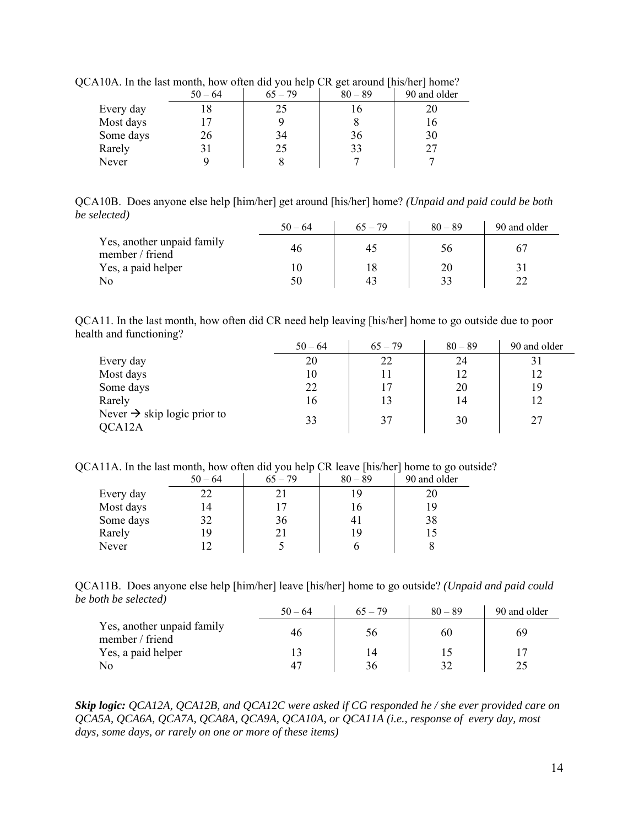|           | $50 - 64$ | $65 - 79$ | $80 - 89$ | 90 and older |
|-----------|-----------|-----------|-----------|--------------|
| Every day |           |           |           |              |
| Most days |           |           |           |              |
| Some days | 26        | 34        | 36        | 30           |
| Rarely    |           | 25        | 33        |              |
| Never     |           |           |           |              |

QCA10A. In the last month, how often did you help CR get around [his/her] home?

QCA10B. Does anyone else help [him/her] get around [his/her] home? *(Unpaid and paid could be both be selected)*

|                                               | $50 - 64$ | $65 - 79$ | $80 - 89$ | 90 and older |
|-----------------------------------------------|-----------|-----------|-----------|--------------|
| Yes, another unpaid family<br>member / friend | 46        | 42        | 56        |              |
| Yes, a paid helper                            |           | 18        | 20        |              |
| No                                            | 50        | 43        | 33        |              |

QCA11. In the last month, how often did CR need help leaving [his/her] home to go outside due to poor health and functioning?

|                                                   | $50 - 64$ | $65 - 79$ | $80 - 89$ | 90 and older |
|---------------------------------------------------|-----------|-----------|-----------|--------------|
| Every day                                         | 20        | 22        | 24        | 31           |
| Most days                                         | 10        |           | 12        | 12           |
| Some days                                         | 22        | 17        | 20        | 19           |
| Rarely                                            | 16        | 13        | 14        | 12           |
| Never $\rightarrow$ skip logic prior to<br>QCA12A | 33        | 37        | 30        | 27           |

QCA11A. In the last month, how often did you help CR leave [his/her] home to go outside?

|           | $50 - 64$ | $65 - 79$ | $80 - 89$ | 90 and older |
|-----------|-----------|-----------|-----------|--------------|
| Every day |           |           | 19        |              |
| Most days | 14        |           | 16        | 19           |
| Some days | 32        | 36        |           | 38           |
| Rarely    | 19        |           | 19        |              |
| Never     |           |           |           |              |

QCA11B. Does anyone else help [him/her] leave [his/her] home to go outside? *(Unpaid and paid could be both be selected)*

|                                               | $50 - 64$ | $65 - 79$ | $80 - 89$ | 90 and older |
|-----------------------------------------------|-----------|-----------|-----------|--------------|
| Yes, another unpaid family<br>member / friend | 46        | 56        | 60        | -69          |
| Yes, a paid helper                            |           | 14        |           |              |
| No                                            |           | 36        |           |              |

*Skip logic: QCA12A, QCA12B, and QCA12C were asked if CG responded he / she ever provided care on QCA5A, QCA6A, QCA7A, QCA8A, QCA9A, QCA10A, or QCA11A (i.e., response of every day, most days, some days, or rarely on one or more of these items)*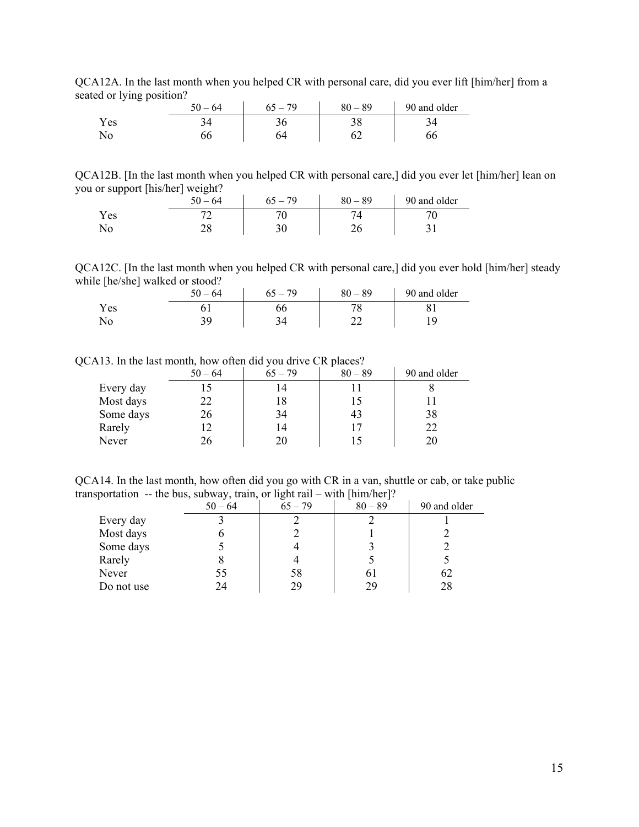QCA12A. In the last month when you helped CR with personal care, did you ever lift [him/her] from a seated or lying position?

| - -  | $50 - 64$ | 79<br>$\epsilon$ $\epsilon$ | $-89$<br>80 | 90 and older   |
|------|-----------|-----------------------------|-------------|----------------|
| Y es |           |                             | າ ດ<br>υu   | $\overline{1}$ |
| ANO. | υυ        |                             | ◡∠          |                |

QCA12B. [In the last month when you helped CR with personal care,] did you ever let [him/her] lean on you or support [his/her] weight?

|      | $-64$<br>$50^{\circ}$ | 79<br>n.<br>$\overline{\phantom{a}}$ | $-89$<br>80 | 90 and older |
|------|-----------------------|--------------------------------------|-------------|--------------|
| Y es | ∽                     |                                      |             |              |
|      | ↩                     |                                      | - -         |              |

QCA12C. [In the last month when you helped CR with personal care,] did you ever hold [him/her] steady while [he/she] walked or stood?

| -   | $-64$<br>50 | 79 | $-89$<br>80. | 90 and older |
|-----|-------------|----|--------------|--------------|
| Yes |             | oc |              |              |
| No  | ້           |    |              |              |

QCA13. In the last month, how often did you drive CR places?

|           | $50 - 64$ | $65 - 79$ | $80 - 89$ | 90 and older |
|-----------|-----------|-----------|-----------|--------------|
| Every day |           | 14        |           |              |
| Most days | 22.       | 18        |           |              |
| Some days | 26        | 34        | 43        | 38           |
| Rarely    |           | 14        | 17        | 22           |
| Never     | 26        | 20        |           | 20           |

QCA14. In the last month, how often did you go with CR in a van, shuttle or cab, or take public transportation -- the bus, subway, train, or light rail – with [him/her]?

| . .        | .<br>$50 - 64$ | -<br>$65 - 79$ | $80 - 89$ | 90 and older |
|------------|----------------|----------------|-----------|--------------|
| Every day  |                |                |           |              |
| Most days  |                |                |           |              |
| Some days  |                |                |           |              |
| Rarely     |                |                |           |              |
| Never      | 55             | 58             | 61        | 62           |
| Do not use | 24             | 29             | 29        | 28           |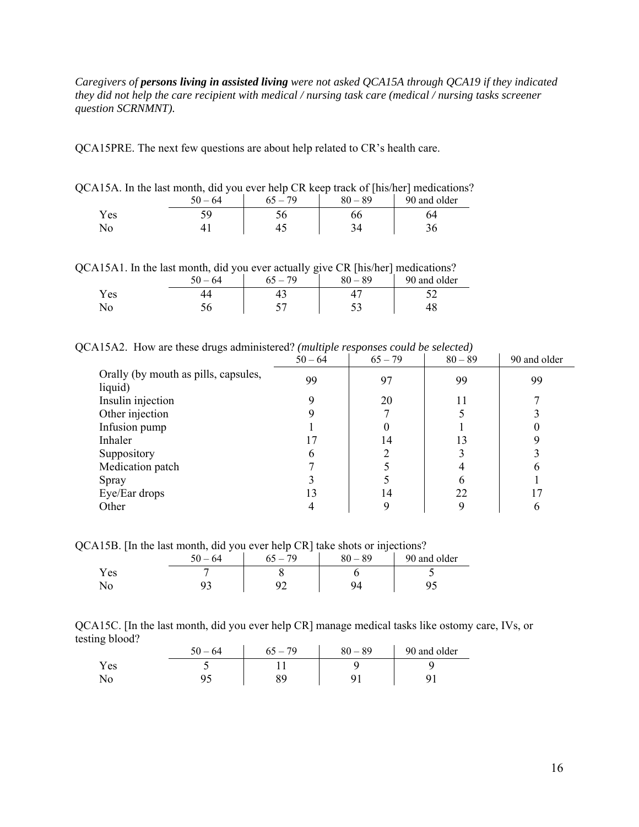*Caregivers of persons living in assisted living were not asked QCA15A through QCA19 if they indicated they did not help the care recipient with medical / nursing task care (medical / nursing tasks screener question SCRNMNT).* 

QCA15PRE. The next few questions are about help related to CR's health care.

| QCA15A. In the last month, did you ever help CR keep track of [his/her] medications? |    |    |    |    |  |
|--------------------------------------------------------------------------------------|----|----|----|----|--|
| 90 and older<br>$80 - 89$<br>$65 - 79$<br>$50 - 64$                                  |    |    |    |    |  |
| Yes                                                                                  | 59 | 56 | 66 | 64 |  |
| $N_{\Omega}$                                                                         |    |    | 34 |    |  |

QCA15A1. In the last month, did you ever actually give CR [his/her] medications?

| , wi ii wi iii iii viit ivyyv iiiviivii vyiv | $50 - 64$ | $65 - 79$ | $-1$ $-1$ $-1$ $-1$ $-1$ $-1$ $-1$ $-1$<br>$80 - 89$ | ----------------<br>90 and older |
|----------------------------------------------|-----------|-----------|------------------------------------------------------|----------------------------------|
| Yes                                          |           |           |                                                      |                                  |
|                                              |           |           |                                                      |                                  |

QCA15A2. How are these drugs administered? *(multiple responses could be selected)* 

|                                                 | $50 - 64$ | $65 - 79$ | $80 - 89$ | 90 and older |
|-------------------------------------------------|-----------|-----------|-----------|--------------|
| Orally (by mouth as pills, capsules,<br>liquid) | 99        | 97        | 99        | 99           |
| Insulin injection                               |           | 20        |           |              |
| Other injection                                 |           |           |           |              |
| Infusion pump                                   |           |           |           |              |
| Inhaler                                         | 17        | 14        | 13        |              |
| Suppository                                     | 6         |           |           |              |
| Medication patch                                |           |           |           |              |
| Spray                                           |           |           | h         |              |
| Eye/Ear drops                                   | 13        | 14        | 22        | 17           |
| Other                                           |           | 9         |           | n            |

QCA15B. [In the last month, did you ever help CR] take shots or injections?

| <b>.</b> | -<br>$-64$ | 70 | ັ<br>$80 - 89$ | 90 and older |
|----------|------------|----|----------------|--------------|
| r es     |            |    |                |              |
| 1NO      |            | -  | Q۵             |              |

| QCA15C. [In the last month, did you ever help CR] manage medical tasks like ostomy care, IVs, or |  |  |  |
|--------------------------------------------------------------------------------------------------|--|--|--|
| testing blood?                                                                                   |  |  |  |

|      | $50 - 64$ | 70<br>$\overline{\phantom{a}}$ | $80 - 89$ | 90 and older |
|------|-----------|--------------------------------|-----------|--------------|
| Y es |           |                                |           |              |
| No   | ر ر       |                                |           |              |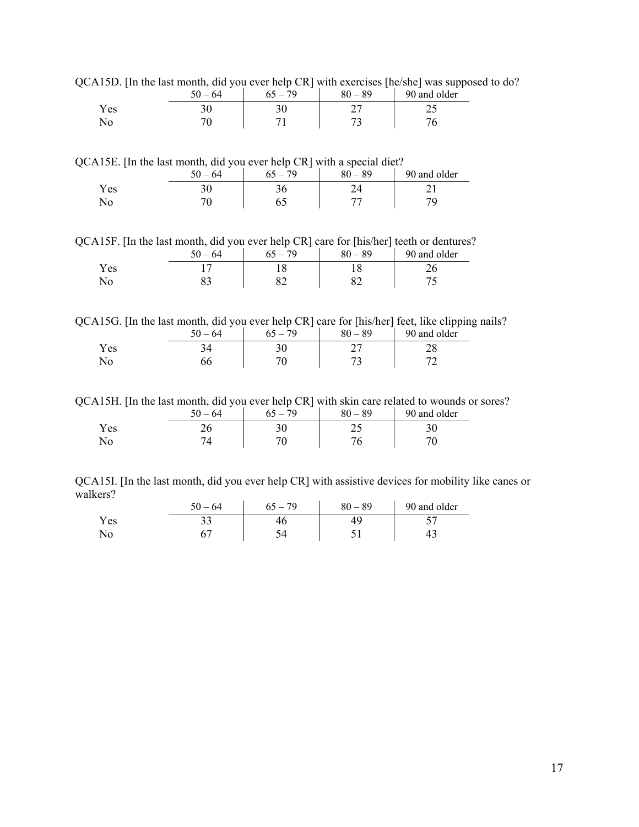QCA15D. [In the last month, did you ever help CR] with exercises [he/she] was supposed to do?

|     | $-64$<br>٢0 | 79 | 89<br>80 | 90 and older |
|-----|-------------|----|----------|--------------|
| Yes |             |    | -        |              |
|     |             |    | -        |              |

QCA15E. [In the last month, did you ever help CR] with a special diet?

|       | $50 - 64$ | 79 | $80 - 89$ | 90 and older |
|-------|-----------|----|-----------|--------------|
| Y es  | ን ሰ<br>υc | υc |           |              |
| ⊥ 1 ∪ | 71        |    |           |              |

QCA15F. [In the last month, did you ever help CR] care for [his/her] teeth or dentures?

|      | 64 | 79<br>$65 -$ | $80 - 89$ | 90 and older |
|------|----|--------------|-----------|--------------|
| Y es |    |              |           |              |
| ΝO   | ບຸ | ◡∠           |           |              |

QCA15G. [In the last month, did you ever help CR] care for [his/her] feet, like clipping nails?

|      | 64<br>50 | 79<br>$65 -$ | $80 - 89$ | 90 and older |
|------|----------|--------------|-----------|--------------|
| Y es |          | υv           |           |              |
|      |          |              |           |              |

QCA15H. [In the last month, did you ever help CR] with skin care related to wounds or sores?

| . .        | $-64$<br>50 | $\overline{\phantom{a}}$<br>$\overline{\phantom{a}}$<br>.79 | $-89$<br>80 | 90 and older |
|------------|-------------|-------------------------------------------------------------|-------------|--------------|
| Y es       | ∠∪          | ን ሰ<br>υc                                                   | ر _         |              |
| $\sqrt{0}$ |             |                                                             |             |              |

QCA15I. [In the last month, did you ever help CR] with assistive devices for mobility like canes or walkers?

|     | $-64$ | . 79 | $80 - 89$ | 90 and older |
|-----|-------|------|-----------|--------------|
| Yes | ັ     |      |           |              |
|     |       |      |           | . .          |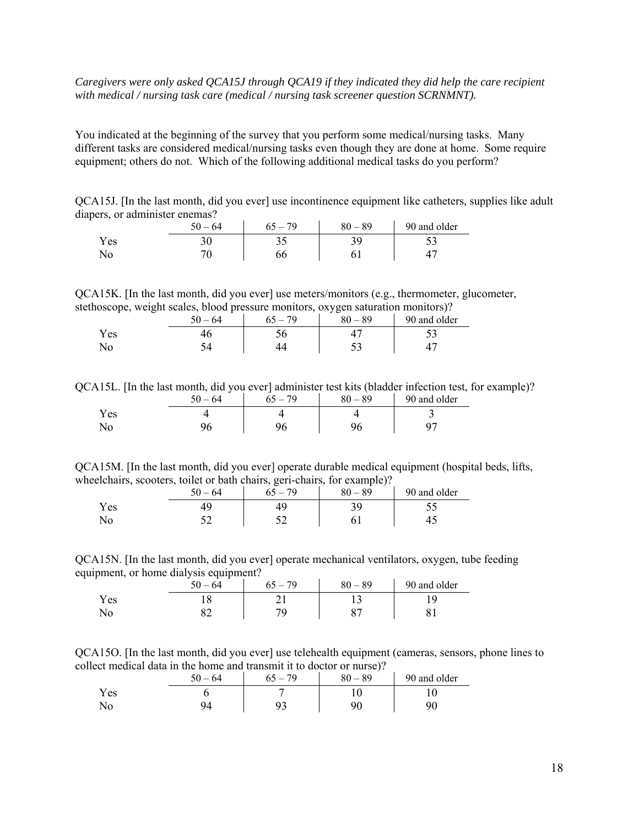### *Caregivers were only asked QCA15J through QCA19 if they indicated they did help the care recipient with medical / nursing task care (medical / nursing task screener question SCRNMNT).*

You indicated at the beginning of the survey that you perform some medical/nursing tasks. Many different tasks are considered medical/nursing tasks even though they are done at home. Some require equipment; others do not. Which of the following additional medical tasks do you perform?

QCA15J. [In the last month, did you ever] use incontinence equipment like catheters, supplies like adult diapers, or administer enemas?

|      | $\epsilon$ $\alpha$<br>$-64$<br>$\overline{\mathbf{v}}$ | $-79$<br>n | $80 - 89$ | 90 and older |
|------|---------------------------------------------------------|------------|-----------|--------------|
| Y es | υU                                                      | ັ້         |           | ັ            |
| 1NO  |                                                         |            |           |              |

QCA15K. [In the last month, did you ever] use meters/monitors (e.g., thermometer, glucometer, stethoscope, weight scales, blood pressure monitors, oxygen saturation monitors)?

|        | 64<br>50 | $-79$ | $-89$<br>80 | 90 and older |
|--------|----------|-------|-------------|--------------|
| Y es   |          |       |             | ັ            |
| $\sim$ |          |       | ັ           |              |

QCA15L. [In the last month, did you ever] administer test kits (bladder infection test, for example)?

|     | $50 - 64$ | $5 - 79$ | $80 - 89$ | 90 and older |
|-----|-----------|----------|-----------|--------------|
| Yes |           |          |           |              |
| No  |           |          |           |              |

QCA15M. [In the last month, did you ever] operate durable medical equipment (hospital beds, lifts, wheelchairs, scooters, toilet or bath chairs, geri-chairs, for example)?

|           | 64<br>٢0 | $-79$ | $80 - 89$ | 90 and older |
|-----------|----------|-------|-----------|--------------|
| Y es      |          |       |           |              |
| $\sim$ 10 | -        |       |           |              |

QCA15N. [In the last month, did you ever] operate mechanical ventilators, oxygen, tube feeding equipment, or home dialysis equipment?

|            | $-64$<br>50 | $-79$ | $-89$<br>80   | 90 and older |
|------------|-------------|-------|---------------|--------------|
| Y es       |             |       |               |              |
| <b>INU</b> | ◡∠          |       | $\Omega$<br>ັ |              |

QCA15O. [In the last month, did you ever] use telehealth equipment (cameras, sensors, phone lines to collect medical data in the home and transmit it to doctor or nurse)?

|      | $50 - 64$ | - 79 | $80 - 89$ | 90 and older |
|------|-----------|------|-----------|--------------|
| Y es |           |      |           |              |
|      |           |      | ۵ſ        | 90           |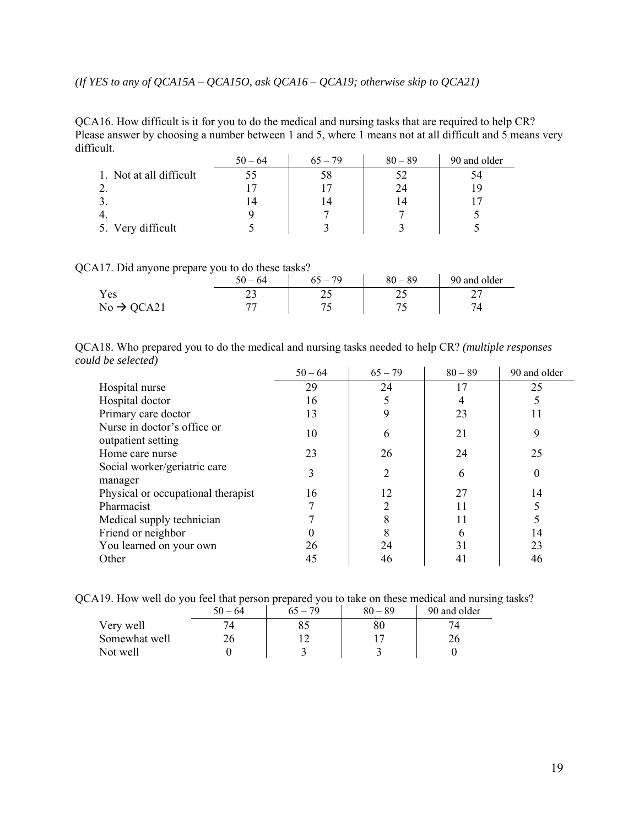*(If YES to any of QCA15A – QCA15O, ask QCA16 – QCA19; otherwise skip to QCA21)* 

QCA16. How difficult is it for you to do the medical and nursing tasks that are required to help CR? Please answer by choosing a number between 1 and 5, where 1 means not at all difficult and 5 means very difficult.

|                         | $50 - 64$ | $65 - 79$ | $80 - 89$ | 90 and older |
|-------------------------|-----------|-----------|-----------|--------------|
| 1. Not at all difficult |           | 58        |           | 94           |
|                         |           |           | 24        |              |
|                         |           |           |           |              |
|                         |           |           |           |              |
| 5. Very difficult       |           |           |           |              |

QCA17. Did anyone prepare you to do these tasks?

|                        | $50 - 64$ | $65 - 79$ | $80 - 89$ | 90 and older |
|------------------------|-----------|-----------|-----------|--------------|
| r es                   | ∼         |           | ر ب       | ∸            |
| $No \rightarrow QCA21$ |           |           |           |              |

| QCA18. Who prepared you to do the medical and nursing tasks needed to help CR? (multiple responses |  |  |                              |  |  |
|----------------------------------------------------------------------------------------------------|--|--|------------------------------|--|--|
| could be selected)                                                                                 |  |  |                              |  |  |
|                                                                                                    |  |  | - 21   20 - 1 00 00   00 111 |  |  |

|                                                   | $50 - 64$ | $65 - 79$ | $80 - 89$ | 90 and older |
|---------------------------------------------------|-----------|-----------|-----------|--------------|
| Hospital nurse                                    | 29        | 24        | 17        | 25           |
| Hospital doctor                                   | 16        | 5         |           |              |
| Primary care doctor                               | 13        | 9         | 23        |              |
| Nurse in doctor's office or<br>outpatient setting | 10        | 6         | 21        | 9            |
| Home care nurse                                   | 23        | 26        | 24        | 25           |
| Social worker/geriatric care<br>manager           | 3         | 2         | 6         | 0            |
| Physical or occupational therapist                | 16        | 12        | 27        | 14           |
| Pharmacist                                        |           |           | 11        |              |
| Medical supply technician                         |           |           | 11        |              |
| Friend or neighbor                                |           |           | h         | 14           |
| You learned on your own                           | 26        | 24        | 31        | 23           |
| Other                                             | 45        | 46        | 41        | 46           |

QCA19. How well do you feel that person prepared you to take on these medical and nursing tasks?

|               | $50 - 64$ | $65 - 79$ | $80 - 89$ | 90 and older |
|---------------|-----------|-----------|-----------|--------------|
| Very well     |           |           |           |              |
| Somewhat well |           |           |           | 26           |
| Not well      |           |           |           |              |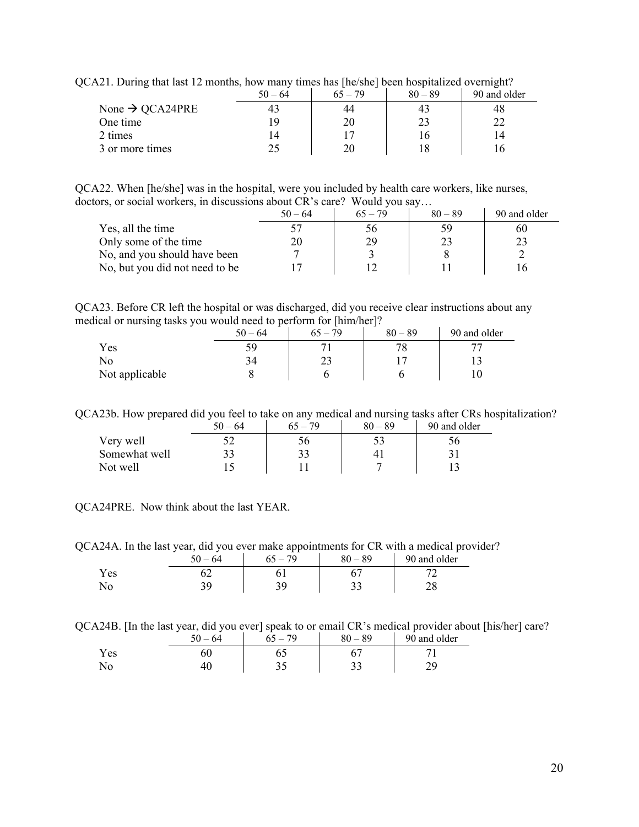| $\mu$ is a complete that there is interested to $\mu$ mainly throw has presented by the second throughout $\sigma$ , while $\mu$ |           |           |           |              |  |  |
|----------------------------------------------------------------------------------------------------------------------------------|-----------|-----------|-----------|--------------|--|--|
|                                                                                                                                  | $50 - 64$ | $65 - 79$ | $80 - 89$ | 90 and older |  |  |
| None $\rightarrow$ QCA24PRE                                                                                                      |           |           |           |              |  |  |
| One time                                                                                                                         |           |           |           |              |  |  |
| 2 times                                                                                                                          | 14        |           |           |              |  |  |
| 3 or more times                                                                                                                  |           |           |           |              |  |  |

QCA21. During that last 12 months, how many times has [he/she] been hospitalized overnight?

QCA22. When [he/she] was in the hospital, were you included by health care workers, like nurses, doctors, or social workers, in discussions about CR's care? Would you say…

|                                | $50 - 64$ | $65 - 79$ | $80 - 89$ | 90 and older |
|--------------------------------|-----------|-----------|-----------|--------------|
| Yes, all the time              |           | 56        | 59        | 60           |
| Only some of the time          | 20        | 29        |           |              |
| No, and you should have been   |           |           |           |              |
| No, but you did not need to be |           |           |           |              |

QCA23. Before CR left the hospital or was discharged, did you receive clear instructions about any medical or nursing tasks you would need to perform for [him/her]?

| $\tilde{\phantom{a}}$ | $50 - 64$ | 70 | $80 - 89$ | 90 and older |
|-----------------------|-----------|----|-----------|--------------|
| Yes                   | 59        |    | 70        |              |
| No                    | 94        |    |           |              |
| Not applicable        |           |    |           |              |

QCA23b. How prepared did you feel to take on any medical and nursing tasks after CRs hospitalization?

|               | $50 - 64$ | $65 - 79$ | $80 - 89$ | 90 and older |
|---------------|-----------|-----------|-----------|--------------|
| Very well     |           |           |           |              |
| Somewhat well |           |           |           |              |
| Not well      |           |           |           |              |

QCA24PRE. Now think about the last YEAR.

QCA24A. In the last year, did you ever make appointments for CR with a medical provider?

|     | . .<br>50.<br>·64 | __<br>70 | $-89$<br>80 | 90 and older |
|-----|-------------------|----------|-------------|--------------|
| Yes | ັ້                | ັ⊥       |             | ∼            |
| ΙNΟ | ັ                 |          | ັັ          | ∠∪           |

QCA24B. [In the last year, did you ever] speak to or email CR's medical provider about [his/her] care?

|     | $50 - 64$ | 70 | $80 - 89$ | 90 and older |
|-----|-----------|----|-----------|--------------|
| Yes | υu        |    |           |              |
|     |           | ັ  | ັ         |              |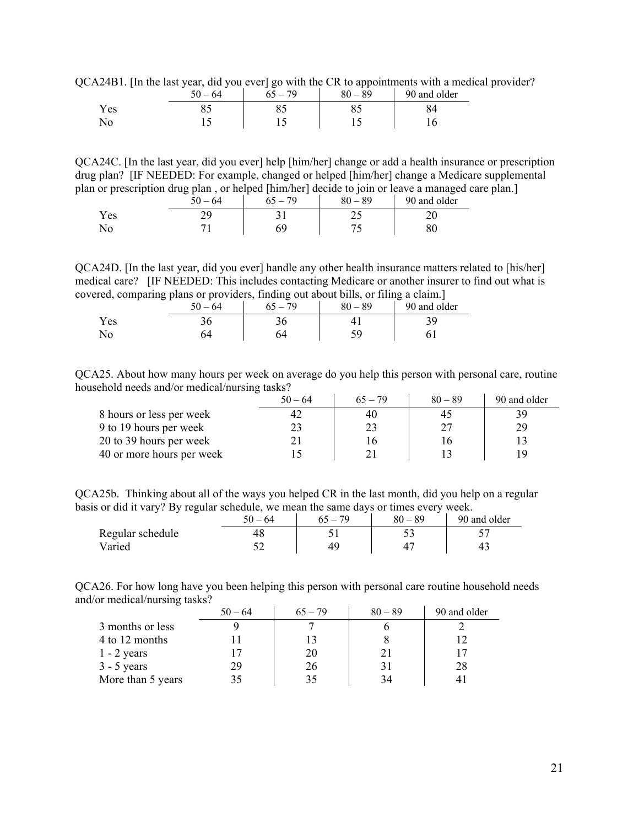QCA24B1. [In the last year, did you ever] go with the CR to appointments with a medical provider?

|     | $50 - 64$ | $-79$ | $80 - 89$ | 90 and older |
|-----|-----------|-------|-----------|--------------|
| Yes |           |       |           | 04           |
| No  |           |       |           |              |

QCA24C. [In the last year, did you ever] help [him/her] change or add a health insurance or prescription drug plan? [IF NEEDED: For example, changed or helped [him/her] change a Medicare supplemental plan or prescription drug plan , or helped [him/her] decide to join or leave a managed care plan.]

|     | $50 - 64$ | 79 | 89<br>$80 -$ | 90 and older |
|-----|-----------|----|--------------|--------------|
| Yes |           |    | ر ب          |              |
|     |           |    |              |              |

QCA24D. [In the last year, did you ever] handle any other health insurance matters related to [his/her] medical care? [IF NEEDED: This includes contacting Medicare or another insurer to find out what is covered, comparing plans or providers, finding out about bills, or filing a claim.]

|      | $\overline{\phantom{a}}$ | - - | $\overline{\phantom{a}}$<br>$-64$<br>50 | -<br>70 | 89<br>oΛ | _<br>$\sim$<br>90 and older |
|------|--------------------------|-----|-----------------------------------------|---------|----------|-----------------------------|
| Y es |                          |     | υc                                      |         |          | ້                           |
| No   |                          |     |                                         |         | 50       |                             |

QCA25. About how many hours per week on average do you help this person with personal care, routine household needs and/or medical/nursing tasks?

|                           | $50 - 64$ | $65 - 79$ | $80 - 89$ | 90 and older |
|---------------------------|-----------|-----------|-----------|--------------|
| 8 hours or less per week  | 42        | 40        | 42        |              |
| 9 to 19 hours per week    |           | 23        |           | 29           |
| 20 to 39 hours per week   |           |           |           |              |
| 40 or more hours per week |           |           |           |              |

QCA25b. Thinking about all of the ways you helped CR in the last month, did you help on a regular basis or did it vary? By regular schedule, we mean the same days or times every week.

| -                | $50 - 64$ | 70 | 89<br>$80 -$ | 90 and older |
|------------------|-----------|----|--------------|--------------|
| Regular schedule |           |    | ັ∼           |              |
| Varied           |           | 40 |              |              |

QCA26. For how long have you been helping this person with personal care routine household needs and/or medical/nursing tasks?

|                   | $50 - 64$ | $65 - 79$ | $80 - 89$ | 90 and older |
|-------------------|-----------|-----------|-----------|--------------|
| 3 months or less  |           |           |           |              |
| 4 to 12 months    |           |           |           |              |
| $1 - 2$ years     |           | 20        |           |              |
| $3 - 5$ years     | 29        | 26        | 31        | 28           |
| More than 5 years |           | 35        | 34        |              |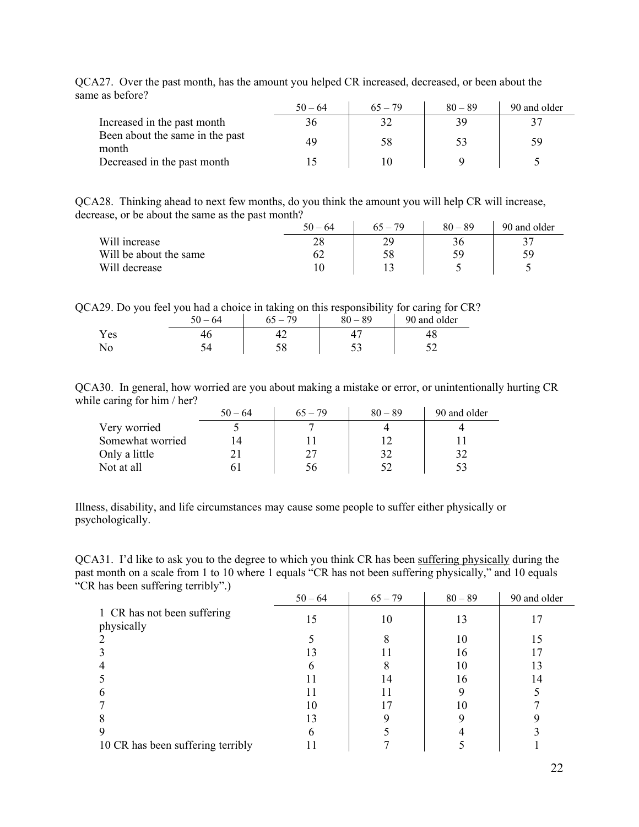|                                          | $50 - 64$ | $65 - 79$ | $80 - 89$ | 90 and older |
|------------------------------------------|-----------|-----------|-----------|--------------|
| Increased in the past month              | 36        |           | 39        |              |
| Been about the same in the past<br>month | 49        | 58        | 53        | 59           |
| Decreased in the past month              |           |           |           |              |

QCA27. Over the past month, has the amount you helped CR increased, decreased, or been about the same as before?

QCA28. Thinking ahead to next few months, do you think the amount you will help CR will increase, decrease, or be about the same as the past month?

|                        | $50 - 64$ | $65 - 79$ | $80 - 89$ | 90 and older |
|------------------------|-----------|-----------|-----------|--------------|
| Will increase          | 28        | 70        | 36        |              |
| Will be about the same |           | 58        | 59        | 59           |
| Will decrease          |           |           |           |              |

QCA29. Do you feel you had a choice in taking on this responsibility for caring for CR?

|       | 50<br>64 | 79 | 89 | 90 and older |
|-------|----------|----|----|--------------|
| Y es  |          |    |    | тc           |
| 1 N U |          |    | ັ∼ |              |

QCA30. In general, how worried are you about making a mistake or error, or unintentionally hurting CR while caring for him / her?

|                  | $50 - 64$ | $65 - 79$ | $80 - 89$ | 90 and older |
|------------------|-----------|-----------|-----------|--------------|
| Very worried     |           |           |           |              |
| Somewhat worried |           |           |           |              |
| Only a little    |           |           |           |              |
| Not at all       |           |           |           |              |

Illness, disability, and life circumstances may cause some people to suffer either physically or psychologically.

QCA31. I'd like to ask you to the degree to which you think CR has been suffering physically during the past month on a scale from 1 to 10 where 1 equals "CR has not been suffering physically," and 10 equals "CR has been suffering terribly".)

|                                           | $50 - 64$ | $65 - 79$ | $80 - 89$ | 90 and older |
|-------------------------------------------|-----------|-----------|-----------|--------------|
| 1 CR has not been suffering<br>physically | 15        | 10        | 13        |              |
|                                           |           |           | 10        |              |
|                                           | 13        |           | 16        |              |
|                                           |           |           | 10        |              |
|                                           |           | 14        | 16        | 14           |
| b                                         |           | 11        |           |              |
|                                           | 10        |           | 10        |              |
| 8                                         | 13        |           |           |              |
| 9                                         | h         |           |           |              |
| 10 CR has been suffering terribly         |           |           |           |              |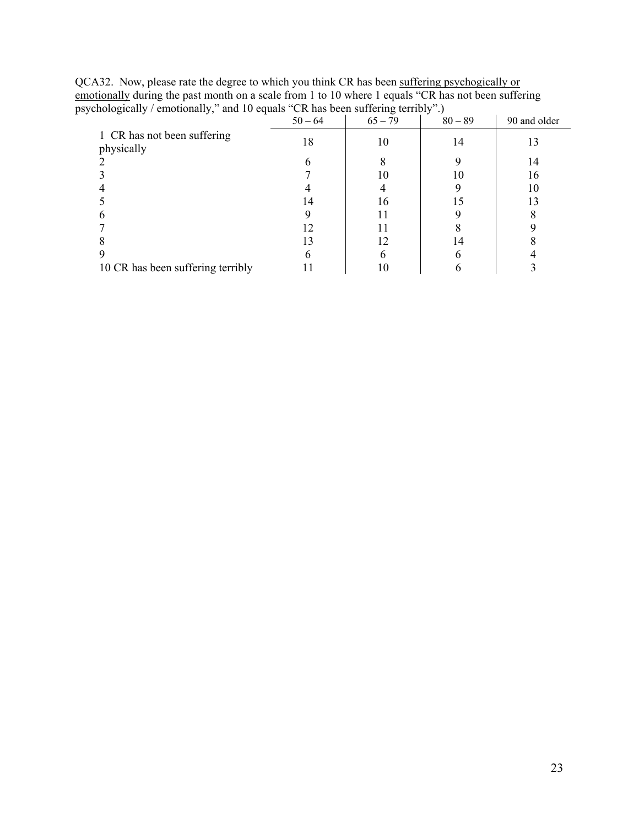| chologically / emotionally," and 10 equals "CR has been suffering terribly".) |           |           |           |              |
|-------------------------------------------------------------------------------|-----------|-----------|-----------|--------------|
|                                                                               | $50 - 64$ | $65 - 79$ | $80 - 89$ | 90 and older |
| 1 CR has not been suffering<br>physically                                     | 18        | 10        | 14        | 13           |
|                                                                               |           |           |           | 14           |
|                                                                               |           |           | 10        | 16           |
|                                                                               |           |           |           | 10           |
|                                                                               | 14        | 16        |           | 13           |
|                                                                               |           |           |           |              |
|                                                                               |           |           |           |              |
|                                                                               | 13        |           | 14        |              |
|                                                                               |           |           |           |              |
| 10 CR has been suffering terribly                                             |           |           |           |              |

QCA32. Now, please rate the degree to which you think CR has been suffering psychogically or emotionally during the past month on a scale from 1 to 10 where 1 equals "CR has not been suffering psychologically / emotionally," and 10 equals "CR has been suffering terribly".)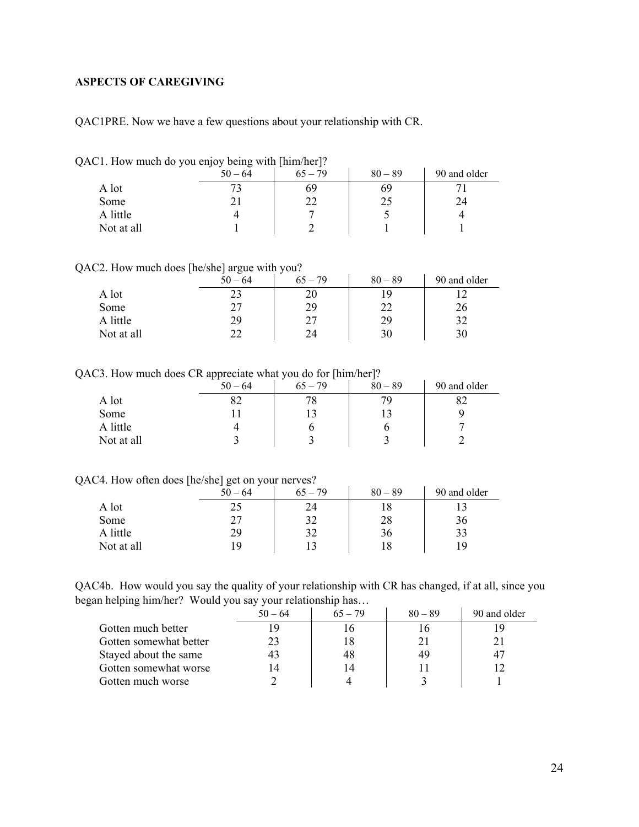# <span id="page-23-0"></span>**ASPECTS OF CAREGIVING**

QAC1PRE. Now we have a few questions about your relationship with CR.

|  |  |  | QAC1. How much do you enjoy being with [him/her]? |
|--|--|--|---------------------------------------------------|
|  |  |  |                                                   |
|  |  |  |                                                   |

| . .        | . .<br>-<br>$50 - 64$ | . .<br>-<br>$65 - 79$ | $80 - 89$ | 90 and older |
|------------|-----------------------|-----------------------|-----------|--------------|
| A lot      |                       | 69                    | 69        |              |
| Some       | ້⊥                    | າາ<br>∠∠              | 25        | 24           |
| A little   |                       |                       |           |              |
| Not at all |                       |                       |           |              |

QAC2. How much does [he/she] argue with you?

|            | . .<br>-<br>ັ<br>$50 - 64$     | ັ<br>$65 - 79$ | $80 - 89$ | 90 and older |
|------------|--------------------------------|----------------|-----------|--------------|
| A lot      |                                | 20             |           |              |
| Some       | דר<br>$\overline{\phantom{a}}$ | 29             | າາ        | 26           |
| A little   | 29                             | 27             | 29        | 27           |
| Not at all | __                             | 24             | 30        |              |

QAC3. How much does CR appreciate what you do for [him/her]?

|            | . .<br>$50 - 64$ | $65 - 79$ | $80 - 89$ | 90 and older |
|------------|------------------|-----------|-----------|--------------|
| A lot      | ٥Ž               | 78        |           |              |
| Some       |                  |           |           |              |
| A little   |                  | O         |           |              |
| Not at all |                  |           |           |              |

#### QAC4. How often does [he/she] get on your nerves?

|            | $50 - 64$ | $65 - 79$ | $80 - 89$ | 90 and older |
|------------|-----------|-----------|-----------|--------------|
| A lot      | 25        | 24        |           |              |
| Some       | 27        | 32        | 28        | 36           |
| A little   | 29        | 32        | 36        | 33           |
| Not at all | 19        |           | 18        | 1 Q          |

QAC4b. How would you say the quality of your relationship with CR has changed, if at all, since you began helping him/her? Would you say your relationship has…

|                        | $50 - 64$ | $65 - 79$ | $80 - 89$ | 90 and older |
|------------------------|-----------|-----------|-----------|--------------|
| Gotten much better     | ۱9        |           |           |              |
| Gotten somewhat better | 23        | 18        |           |              |
| Stayed about the same  | 43        | 48        | 49        | 47           |
| Gotten somewhat worse  | 14        | 14        |           |              |
| Gotten much worse      |           |           |           |              |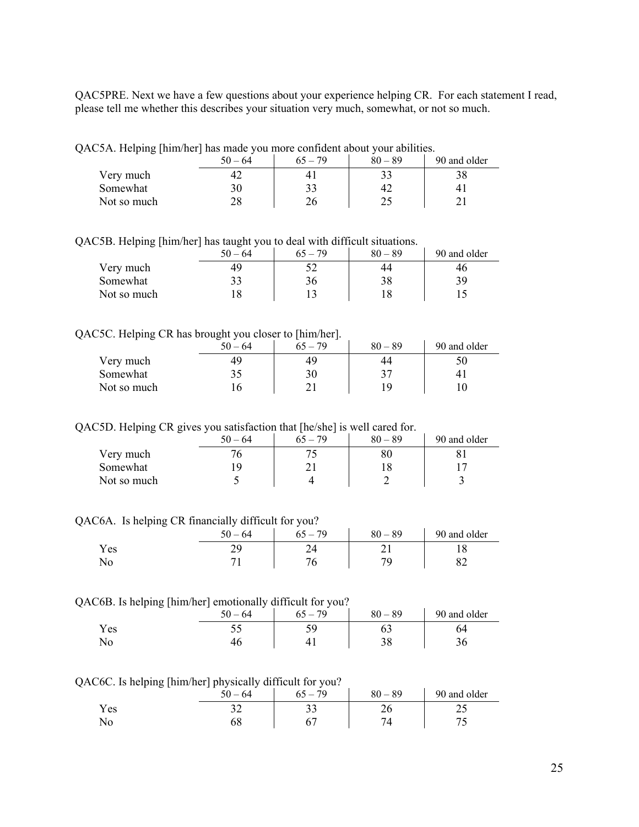QAC5PRE. Next we have a few questions about your experience helping CR. For each statement I read, please tell me whether this describes your situation very much, somewhat, or not so much.

QAC5A. Helping [him/her] has made you more confident about your abilities.

|             | <br>$50 - 64$ | $65 - 79$ | $80 - 89$ | 90 and older |
|-------------|---------------|-----------|-----------|--------------|
| Very much   |               | 4.        |           |              |
| Somewhat    | 30            | 33        | 42        |              |
| Not so much | 28            | 26        | ∠~        |              |

QAC5B. Helping [him/her] has taught you to deal with difficult situations.

|             | $50 - 64$     | $65 - 79$ | $80 - 89$ | 90 and older |
|-------------|---------------|-----------|-----------|--------------|
| Very much   | 49            |           | 44        | 46           |
| Somewhat    | າາ<br>دد      | 36        | 38        | 39           |
| Not so much | $\circ$<br>ΙO |           |           |              |

### QAC5C. Helping CR has brought you closer to [him/her].

| -           | $50 - 64$ | . .<br>-<br>$65 - 79$ | $80 - 89$ | 90 and older |
|-------------|-----------|-----------------------|-----------|--------------|
| Very much   | 49        | 49                    | 44        |              |
| Somewhat    |           | 30                    | າາ        |              |
| Not so much |           |                       | 1 Q       |              |

QAC5D. Helping CR gives you satisfaction that [he/she] is well cared for.

|             | $50 - 64$ | $65 - 79$ | $80 - 89$ | 90 and older |
|-------------|-----------|-----------|-----------|--------------|
| Very much   |           |           | $80\,$    |              |
| Somewhat    |           |           |           |              |
| Not so much |           |           |           |              |

QAC6A. Is helping CR financially difficult for you?

|     | $50 - 64$ | $-79$ | $80 - 89$ | 90 and older |
|-----|-----------|-------|-----------|--------------|
| Yes | -         |       | ∸         |              |
| No  |           |       |           | ◡∠           |

#### QAC6B. Is helping [him/her] emotionally difficult for you?

| $\sim$<br>-- | -<br>64 | .79<br>` — | $80 - 89$ | 90 and older |
|--------------|---------|------------|-----------|--------------|
| Y es         | ັ       |            | υJ        | UЧ           |
| ΙNΟ          |         |            |           |              |

QAC6C. Is helping [him/her] physically difficult for you?

| --    | - -<br>.<br>.<br>64<br>50 | -<br>79<br>$\epsilon$ $\epsilon$ | 80<br>89 | 90 and older |
|-------|---------------------------|----------------------------------|----------|--------------|
| Y es  |                           | ◡                                | ∠∪       | ر _          |
| 1 N U |                           |                                  |          |              |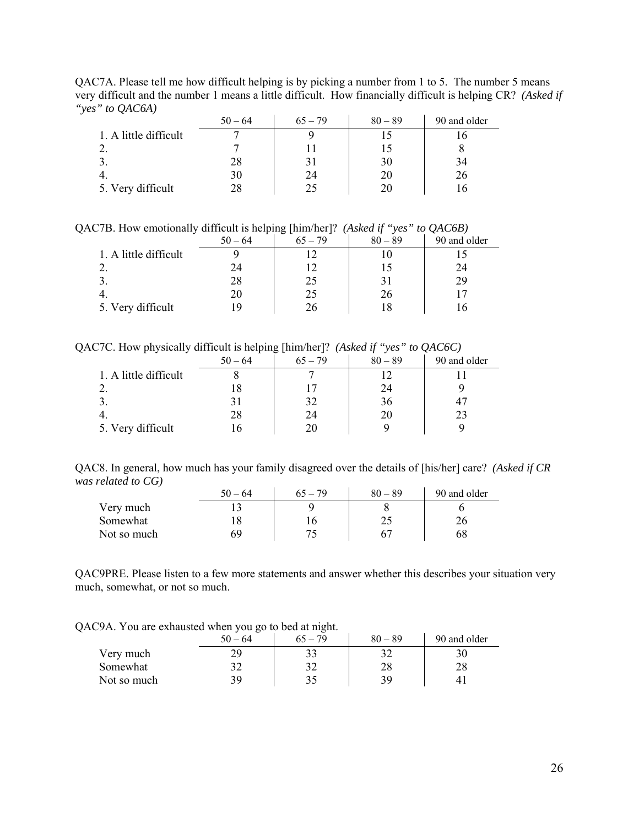QAC7A. Please tell me how difficult helping is by picking a number from 1 to 5. The number 5 means very difficult and the number 1 means a little difficult. How financially difficult is helping CR? *(Asked if "yes" to QAC6A)*

| ~                     | $50 - 64$ | $65 - 79$ | $80 - 89$ | 90 and older |
|-----------------------|-----------|-----------|-----------|--------------|
| 1. A little difficult |           |           |           |              |
|                       |           |           |           |              |
|                       | 28        |           | 30        | 34           |
|                       | 30        | 24        | 20        | 26           |
| 5. Very difficult     | 28        |           | 20        |              |

QAC7B. How emotionally difficult is helping [him/her]? *(Asked if "yes" to QAC6B)* 

|                       | $50 - 64$ | ັບເ<br>$65 - 79$ | $\cdot$<br>$80 - 89$ | ~<br>90 and older |
|-----------------------|-----------|------------------|----------------------|-------------------|
| 1. A little difficult |           |                  |                      |                   |
|                       | 24        |                  |                      | 24                |
| . ب                   | 28        | 25               |                      | 29                |
|                       | 20        | 25               | 26                   |                   |
| 5. Very difficult     | 1 Q       | 26               |                      |                   |

QAC7C. How physically difficult is helping [him/her]? *(Asked if "yes" to QAC6C)*

|                       | $50 - 64$ | $65 - 79$ | $80 - 89$ | 90 and older |
|-----------------------|-----------|-----------|-----------|--------------|
| 1. A little difficult |           |           |           |              |
|                       |           |           | 24        |              |
|                       |           | 32        | 36        |              |
|                       | 28        | 24        | 20        | 23           |
| 5. Very difficult     |           | 20        |           |              |

QAC8. In general, how much has your family disagreed over the details of [his/her] care? *(Asked if CR was related to CG)*   $\mathcal{L}$ 

|             | $50 - 64$ |     | $80 - 89$ | 90 and older |
|-------------|-----------|-----|-----------|--------------|
| Very much   |           |     |           |              |
| Somewhat    |           | l b |           |              |
| Not so much |           |     |           |              |

QAC9PRE. Please listen to a few more statements and answer whether this describes your situation very much, somewhat, or not so much.

QAC9A. You are exhausted when you go to bed at night.

|             | $\circ$<br>$50 - 64$ | $65 - 79$ | $80 - 89$ | 90 and older |
|-------------|----------------------|-----------|-----------|--------------|
| Very much   | 29                   |           |           |              |
| Somewhat    |                      | າາ        | 28        | 28           |
| Not so much | 39                   |           | 39        |              |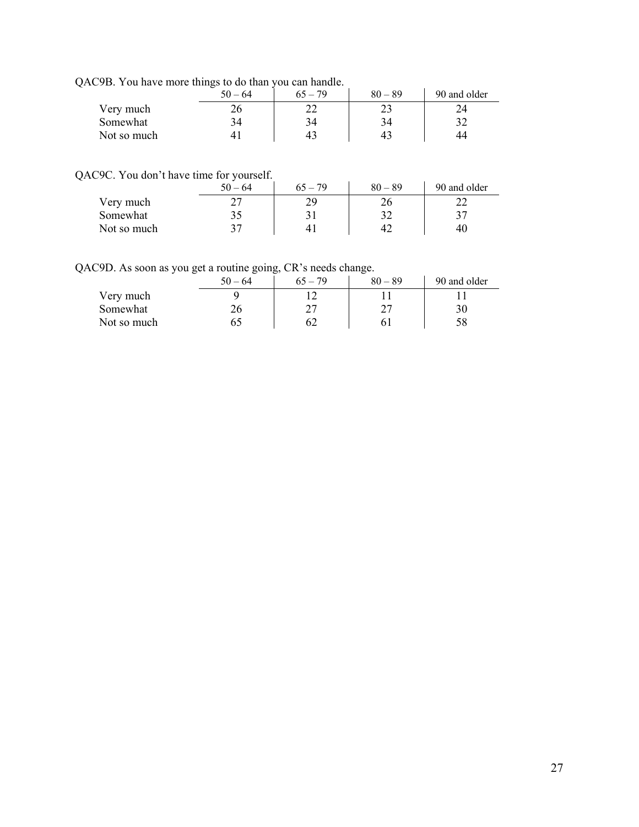QAC9B. You have more things to do than you can handle.

|             | $50 - 64$      | $65 - 79$ | $80 - 89$ | 90 and older |
|-------------|----------------|-----------|-----------|--------------|
| Very much   | 26             |           |           |              |
| Somewhat    | 34             | 34        | 34        | າາ           |
| Not so much | 4 <sub>1</sub> | 43        | 43        | 44           |

QAC9C. You don't have time for yourself.

|             | $50 - 64$ | $65 - 79$ | $80 - 89$ | 90 and older |
|-------------|-----------|-----------|-----------|--------------|
| Very much   |           |           | 26        |              |
| Somewhat    |           |           | ے ر       | າ 7          |
| Not so much | າາ        |           | 42        | 40           |

QAC9D. As soon as you get a routine going, CR's needs change.

| -<br>$\tilde{\phantom{a}}$ | ~<br>$50 - 64$ | $\sim$<br>$65 - 79$ | $\tilde{\phantom{a}}$<br>$80 - 89$ | 90 and older |
|----------------------------|----------------|---------------------|------------------------------------|--------------|
| Very much                  |                |                     |                                    |              |
| Somewhat                   | 26             | ົ                   |                                    |              |
| Not so much                |                |                     |                                    |              |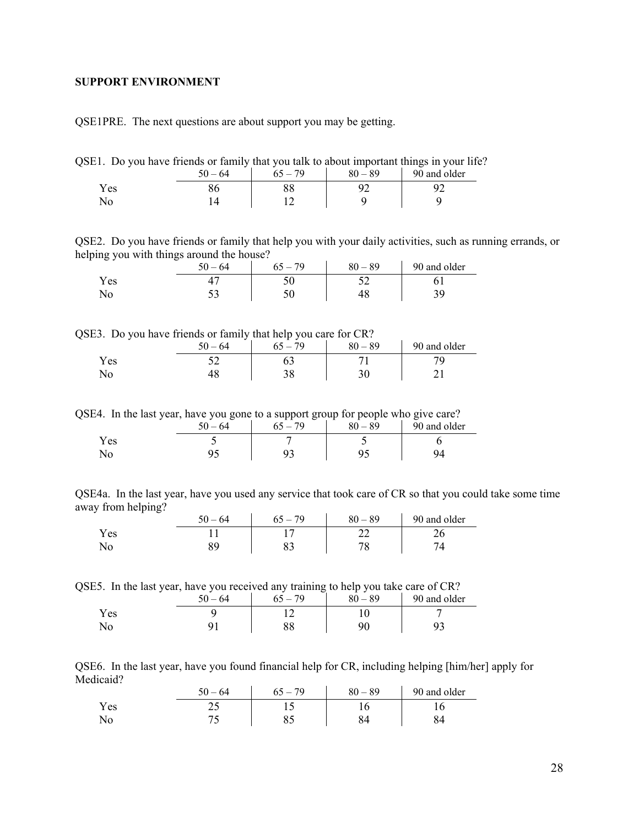#### <span id="page-27-0"></span>**SUPPORT ENVIRONMENT**

QSE1PRE. The next questions are about support you may be getting.

QSE1. Do you have friends or family that you talk to about important things in your life?

|      | $50 - 64$ | $65 - 79$ | $80 - 89$ | 90 and older |
|------|-----------|-----------|-----------|--------------|
| Y es |           | oσ        |           |              |
| No   |           |           |           |              |

QSE2. Do you have friends or family that help you with your daily activities, such as running errands, or helping you with things around the house?

|     | $50 - 64$ | $-79$ | $80 - 89$ | 90 and older |
|-----|-----------|-------|-----------|--------------|
| Yes |           |       | ◡▵        |              |
| No  | ັບ        | ◡◡    |           |              |

QSE3. Do you have friends or family that help you care for CR?

| -    | $-64$<br>50 | 70 | $80 - 89$ | 90 and older |
|------|-------------|----|-----------|--------------|
| Y es |             |    |           |              |
|      |             | ◡◡ |           |              |

QSE4. In the last year, have you gone to a support group for people who give care?

|     | 64 | 70 | _<br>$-89$<br>80 | 90 and older |
|-----|----|----|------------------|--------------|
| Yes |    |    |                  |              |
| No  |    |    |                  |              |

QSE4a. In the last year, have you used any service that took care of CR so that you could take some time away from helping?

|       | $-64$<br>50. | 79 | $-89$<br>80 | 90 and older |
|-------|--------------|----|-------------|--------------|
| Y es  |              |    | ∠∠          | ∠∪           |
| 1 N U |              | ບຸ |             |              |

QSE5. In the last year, have you received any training to help you take care of CR?

|      | $-64$ | $-79$ | $80 - 89$ | 90 and older |
|------|-------|-------|-----------|--------------|
| Y es |       |       |           |              |
|      |       | oo    | ∩∩        |              |

QSE6. In the last year, have you found financial help for CR, including helping [him/her] apply for Medicaid?

|      | $50 - 64$ | 79 | $80 - 89$ | 90 and older |
|------|-----------|----|-----------|--------------|
| Y es | ر بے      |    |           |              |
|      | ັ         | ບຸ |           |              |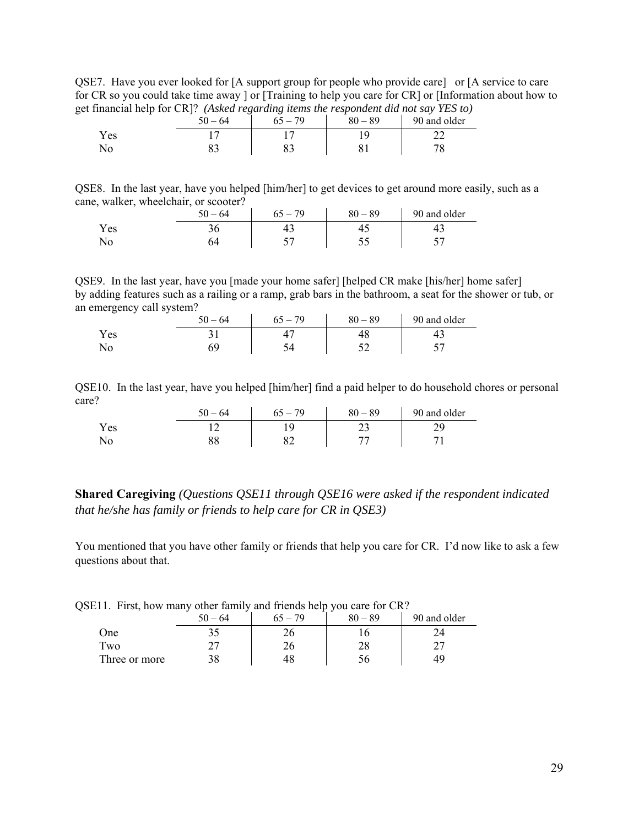QSE7. Have you ever looked for [A support group for people who provide care] or [A service to care for CR so you could take time away ] or [Training to help you care for CR] or [Information about how to get financial help for CR]? *(Asked regarding items the respondent did not say YES to)* 

| $\frac{1}{2}$  | $50 - 64$ | $65 - 79$ | $80 - 89$ | 90 and older |
|----------------|-----------|-----------|-----------|--------------|
| Yes            |           |           |           |              |
| N <sub>o</sub> |           |           |           |              |

QSE8. In the last year, have you helped [him/her] to get devices to get around more easily, such as a cane, walker, wheelchair, or scooter?

|      | 50<br>$-64$ | 70<br>$\overline{\phantom{0}}$<br>י י | 89<br>$80 -$ | 90 and older |
|------|-------------|---------------------------------------|--------------|--------------|
| Y es |             | +∋                                    | т.,          | τ            |
| ⊥◥◡  | ∼           |                                       | ັ            | --           |

QSE9. In the last year, have you [made your home safer] [helped CR make [his/her] home safer] by adding features such as a railing or a ramp, grab bars in the bathroom, a seat for the shower or tub, or an emergency call system?

| .<br>. | 50.<br>$-64$ | 79<br>$65 -$ | $80 - 89$ | 90 and older |
|--------|--------------|--------------|-----------|--------------|
| Y es   |              |              |           |              |
| 1NO    |              |              |           |              |

QSE10. In the last year, have you helped [him/her] find a paid helper to do household chores or personal care?

|      | $-64$ | 70<br>n | 89<br>$80 -$ | 90 and older |
|------|-------|---------|--------------|--------------|
| Y es |       |         | ر_           |              |
| ΝO   | υu    | ◡∠      |              |              |

**Shared Caregiving** *(Questions QSE11 through QSE16 were asked if the respondent indicated that he/she has family or friends to help care for CR in QSE3)*

You mentioned that you have other family or friends that help you care for CR. I'd now like to ask a few questions about that.

| QSE11. First, how many other family and friends help you care for CR? |                                      |  |
|-----------------------------------------------------------------------|--------------------------------------|--|
|                                                                       | $50-64$   $65-79$   $80-89$   90 and |  |
|                                                                       |                                      |  |

|               | -64<br>$50-$ | 70 | $80 - 89$ | 90 and older |
|---------------|--------------|----|-----------|--------------|
| One           | 7 E          | ۷b |           |              |
| Two           |              | 26 | າດ<br>20  |              |
| Three or more | 2 Q          |    |           | 14           |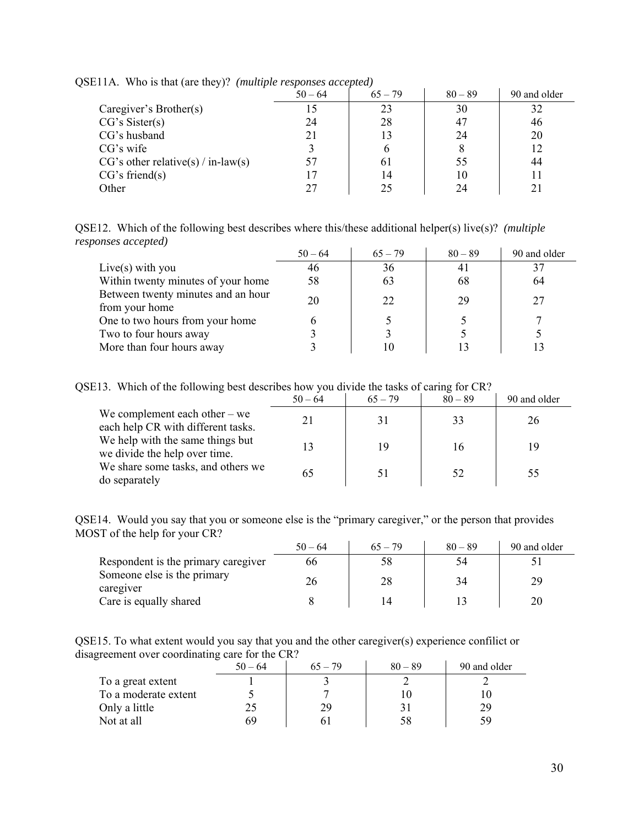|                                      | $50 - 64$ | $65 - 79$ | $80 - 89$ | 90 and older |
|--------------------------------------|-----------|-----------|-----------|--------------|
| Caregiver's Brother(s)               | כ ו       | 23        | 30        | 32           |
| CG's Sister(s)                       | 24        | 28        | 47        | 46           |
| CG's husband                         | 21        | 13        | 24        | 20           |
| CG's wife                            |           | h         |           |              |
| $CG's other relative(s) / in-law(s)$ | 57        | 61        | 55        | 44           |
| CG's friend(s)                       | 17        | 14        | 10        |              |
| Other                                | 27        | 25        | 24        |              |

QSE11A. Who is that (are they)? *(multiple responses accepted)*

QSE12. Which of the following best describes where this/these additional helper(s) live(s)? *(multiple responses accepted)*

|                                                      | $50 - 64$ | $65 - 79$ | $80 - 89$ | 90 and older |
|------------------------------------------------------|-----------|-----------|-----------|--------------|
| Live(s) with you                                     | 46        | 36        | 41        |              |
| Within twenty minutes of your home                   | 58        | 63        | 68        | 64           |
| Between twenty minutes and an hour<br>from your home | 20        | 22        | 29        | 27           |
| One to two hours from your home                      |           |           |           |              |
| Two to four hours away                               |           |           |           |              |
| More than four hours away                            |           | 10        |           |              |

QSE13. Which of the following best describes how you divide the tasks of caring for CR?

|                                                                       | $50 - 64$ | $65 - 79$ | $80 - 89$ | 90 and older |
|-----------------------------------------------------------------------|-----------|-----------|-----------|--------------|
| We complement each other $-$ we<br>each help CR with different tasks. |           | 31        | 33        | 26           |
| We help with the same things but<br>we divide the help over time.     |           | 19        | 16        | 19           |
| We share some tasks, and others we<br>do separately                   |           |           | 52        | 55           |

QSE14. Would you say that you or someone else is the "primary caregiver," or the person that provides MOST of the help for your CR?

|                                          | $50 - 64$ | $65 - 79$ | $80 - 89$ | 90 and older |
|------------------------------------------|-----------|-----------|-----------|--------------|
| Respondent is the primary caregiver      | 66        | 58        | 54        |              |
| Someone else is the primary<br>caregiver | 26        | 28        | 34        | 29           |
| Care is equally shared                   |           |           |           | 20           |

QSE15. To what extent would you say that you and the other caregiver(s) experience confilict or disagreement over coordinating care for the CR?

|                      | $50 - 64$ | $65 - 79$ | $80 - 89$ | 90 and older |
|----------------------|-----------|-----------|-----------|--------------|
| To a great extent    |           |           |           |              |
| To a moderate extent |           |           |           |              |
| Only a little        |           | 29        |           | 29           |
| Not at all           | 69        |           | 58        | 59           |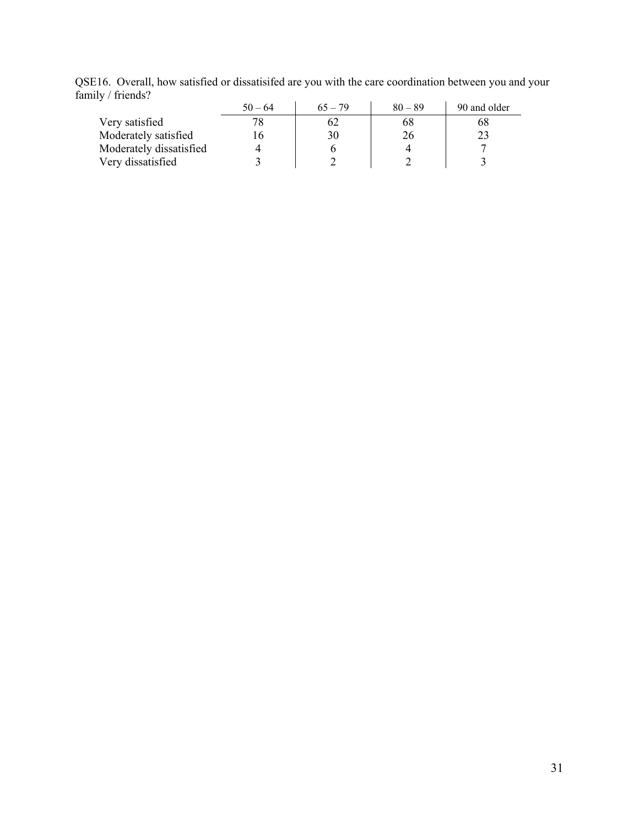|                         | $50 - 64$ | $65 - 79$ | $80 - 89$ | 90 and older |
|-------------------------|-----------|-----------|-----------|--------------|
| Very satisfied          |           | 62        | 68        | 68           |
| Moderately satisfied    |           | 30        | 26        |              |
| Moderately dissatisfied |           |           |           |              |
| Very dissatisfied       |           |           |           |              |

QSE16. Overall, how satisfied or dissatisifed are you with the care coordination between you and your family / friends?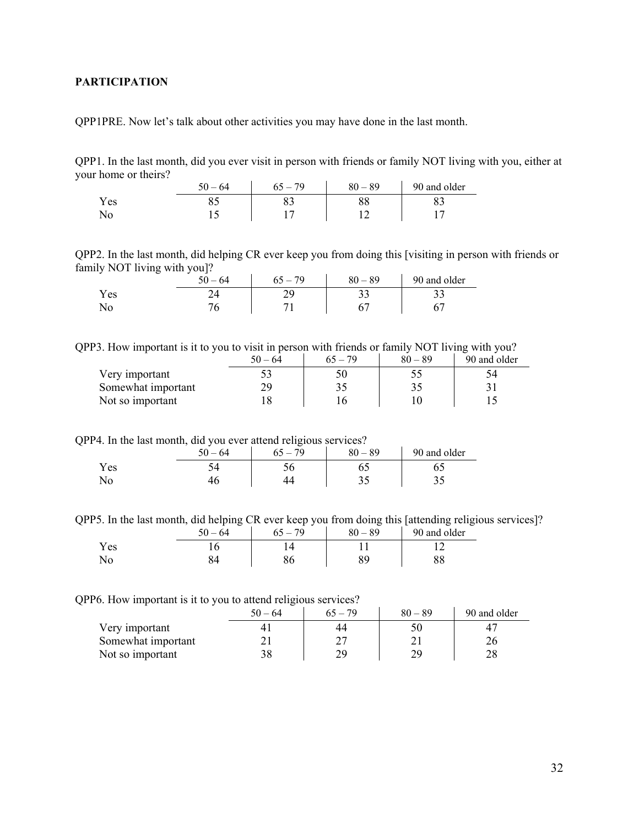## <span id="page-31-0"></span>**PARTICIPATION**

QPP1PRE. Now let's talk about other activities you may have done in the last month.

QPP1. In the last month, did you ever visit in person with friends or family NOT living with you, either at your home or theirs?

|      | 64<br>יי<br>$\overline{\phantom{a}}$ | 79 | $-89$<br>$\Omega$ | 90 and older |
|------|--------------------------------------|----|-------------------|--------------|
| Y es |                                      | ບບ | oo                | ິ            |
| 150  | . .                                  |    |                   |              |

QPP2. In the last month, did helping CR ever keep you from doing this [visiting in person with friends or family NOT living with you]?

|      | _ | --<br>$50 - 64$ | $-79$<br>65 | $80 - 89$ | 90 and older |
|------|---|-----------------|-------------|-----------|--------------|
| Y es |   |                 |             | ◡         | ر_ ر_        |
| No   |   |                 |             |           |              |

QPP3. How important is it to you to visit in person with friends or family NOT living with you?

|                    | $50 - 64$ | $65 - 79$ | $80 - 89$ | 90 and older |
|--------------------|-----------|-----------|-----------|--------------|
| Very important     |           |           |           |              |
| Somewhat important |           |           |           |              |
| Not so important   |           |           |           |              |

QPP4. In the last month, did you ever attend religious services?

|      | $-64$<br>$\sim$ | J<br>70<br>в. | $80 - 89$ | 90 and older |
|------|-----------------|---------------|-----------|--------------|
| Y es |                 | ◡◡            |           |              |
|      |                 |               | ັັ        | ت ب          |

QPP5. In the last month, did helping CR ever keep you from doing this [attending religious services]?

|     | $50 - 64$ | $65 - 79$ | $80 - 89$ | 90 and older |
|-----|-----------|-----------|-----------|--------------|
| Yes |           |           |           |              |
| No  |           |           |           | ٥o           |

#### QPP6. How important is it to you to attend religious services?

|                    | $50 - 64$ | $65 - 79$ | $80 - 89$ | 90 and older |
|--------------------|-----------|-----------|-----------|--------------|
| Very important     |           | 44        |           |              |
| Somewhat important |           | ר ר       |           |              |
| Not so important   |           | 29        |           |              |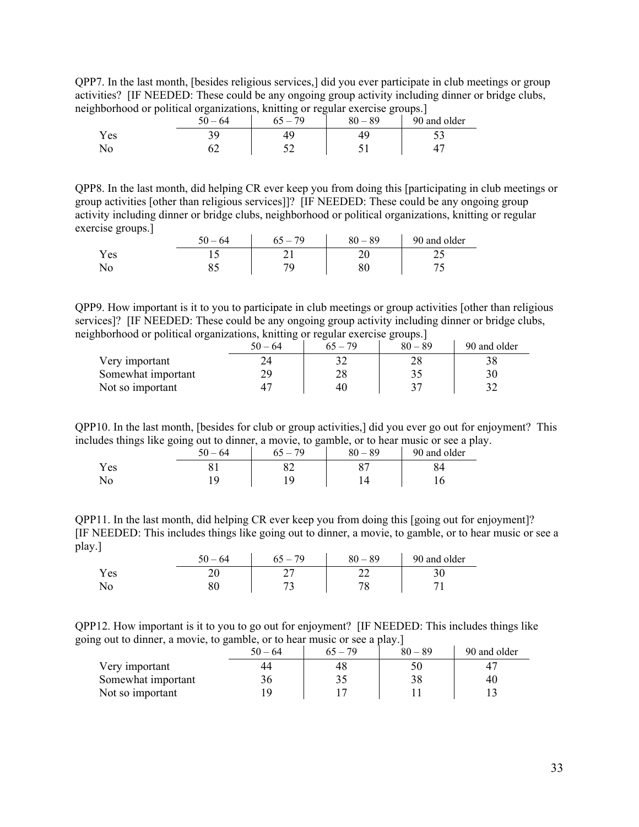QPP7. In the last month, [besides religious services,] did you ever participate in club meetings or group activities? [IF NEEDED: These could be any ongoing group activity including dinner or bridge clubs, neighborhood or political organizations, knitting or regular exercise groups.]

|     | $50 - 64$ | $65 - 79$ | $80 - 89$ | 90 and older |
|-----|-----------|-----------|-----------|--------------|
| Yes |           |           |           | ັ້           |
| No  |           |           |           |              |

QPP8. In the last month, did helping CR ever keep you from doing this [participating in club meetings or group activities [other than religious services]]? [IF NEEDED: These could be any ongoing group activity including dinner or bridge clubs, neighborhood or political organizations, knitting or regular exercise groups.]

| $\tilde{\phantom{a}}$<br>. . | $-64$<br>50 | 79 | $-89$<br>80 | 90 and older |
|------------------------------|-------------|----|-------------|--------------|
| Yes                          |             |    | ∠∪          | ر ب          |
| ΝO                           | ບພ          |    | or<br>ου    |              |

QPP9. How important is it to you to participate in club meetings or group activities [other than religious services]? [IF NEEDED: These could be any ongoing group activity including dinner or bridge clubs, neighborhood or political organizations, knitting or regular exercise groups.]

|                    | 50 – 64 | $65 - 79$ | $80 - 89$ | 90 and older |
|--------------------|---------|-----------|-----------|--------------|
| Very important     |         |           |           |              |
| Somewhat important |         | 20        |           |              |
| Not so important   |         | 40        |           |              |

QPP10. In the last month, [besides for club or group activities,] did you ever go out for enjoyment? This includes things like going out to dinner, a movie, to gamble, or to hear music or see a play.

|            | $\tilde{\phantom{a}}$<br>- | $\tilde{\phantom{a}}$<br>50<br>$-64$ | $\tilde{\phantom{a}}$<br>70<br>OJ | $80 - 89$ | 90 and older |
|------------|----------------------------|--------------------------------------|-----------------------------------|-----------|--------------|
| τT<br>Y es |                            | UΙ                                   | െ<br>◡∠                           |           | 84           |
| No         |                            |                                      |                                   |           |              |

QPP11. In the last month, did helping CR ever keep you from doing this [going out for enjoyment]? [IF NEEDED: This includes things like going out to dinner, a movie, to gamble, or to hear music or see a play.]

|            | $-64$ | 70<br>$\overline{\phantom{0}}$<br>n٦ | $80 - 89$ | 90 and older |
|------------|-------|--------------------------------------|-----------|--------------|
| Y es       |       | ∸                                    | ∸         | ን ሰ<br>υc    |
| $\sqrt{0}$ |       |                                      | ヮぃ        |              |

QPP12. How important is it to you to go out for enjoyment? [IF NEEDED: This includes things like going out to dinner, a movie, to gamble, or to hear music or see a play.]

|                    | $50 - 64$ | $65 - 79$ | $80 - 89$ | 90 and older |
|--------------------|-----------|-----------|-----------|--------------|
| Very important     |           | 48        |           |              |
| Somewhat important | 36        |           | 38        | 40           |
| Not so important   |           |           |           |              |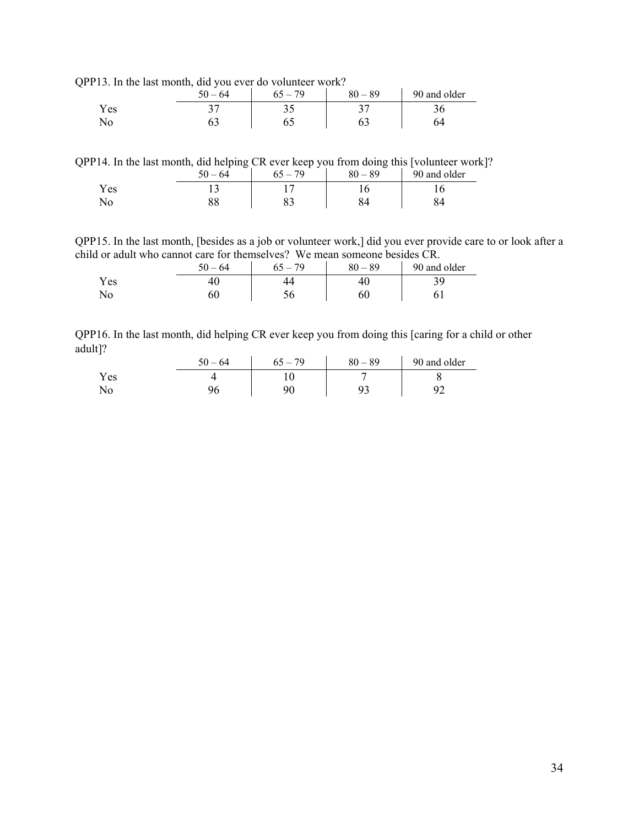QPP13. In the last month, did you ever do volunteer work?

|     | .<br>. .<br>$50 - 64$ | 70<br>$\overline{\phantom{0}}$ | $-89$<br>80 | 90 and older |
|-----|-----------------------|--------------------------------|-------------|--------------|
| Yes | ັ                     |                                |             |              |
|     |                       |                                |             |              |

QPP14. In the last month, did helping CR ever keep you from doing this [volunteer work]?

|      | 64<br>$\overline{\phantom{0}}$ | $-79$ | $80 - 89$ | 90 and older |
|------|--------------------------------|-------|-----------|--------------|
| Y es |                                |       |           | ◡            |
| No   |                                | ບບ    |           |              |

QPP15. In the last month, [besides as a job or volunteer work,] did you ever provide care to or look after a child or adult who cannot care for themselves? We mean someone besides CR.

|     | $50 - 64$ | -79 | $80 - 89$ | 90 and older |
|-----|-----------|-----|-----------|--------------|
| Yes |           |     |           | 39.          |
| No  | ou        |     | 60        |              |

QPP16. In the last month, did helping CR ever keep you from doing this [caring for a child or other adult]?

|     | $50 - 64$ | $5 - 79$ | $80 - 89$ | 90 and older |
|-----|-----------|----------|-----------|--------------|
| Yes |           |          |           |              |
| No  |           |          | o۵        | ╯            |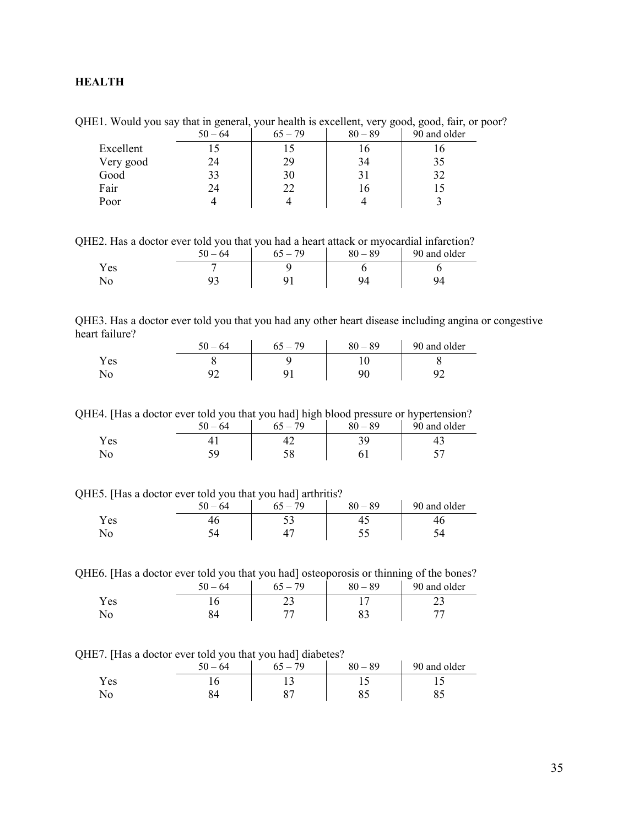# <span id="page-34-0"></span>**HEALTH**

QHE1. Would you say that in general, your health is excellent, very good, good, fair, or poor?

|           | $50 - 64$ | $65 - 79$ | $80 - 89$ | 90 and older |
|-----------|-----------|-----------|-----------|--------------|
| Excellent |           |           |           |              |
| Very good | 24        | 29        | 34        | 35           |
| Good      |           | 30        |           | 37           |
| Fair      | 24        | 22        | 10        |              |
| Poor      |           |           |           |              |

QHE2. Has a doctor ever told you that you had a heart attack or myocardial infarction?

|      | 50<br>$-64$ | $-79$ | $80 - 89$ | 90 and older |
|------|-------------|-------|-----------|--------------|
| Y es |             |       |           |              |
|      |             |       |           |              |

QHE3. Has a doctor ever told you that you had any other heart disease including angina or congestive heart failure?

|     | $50 - 64$ | 79<br>$65 - 7$ | $80 - 89$ | 90 and older |
|-----|-----------|----------------|-----------|--------------|
| Yes |           |                |           |              |
| No  |           |                |           |              |

QHE4. [Has a doctor ever told you that you had] high blood pressure or hypertension?

|      | 50<br>$-64$ | 70  | -<br>$-89$<br>oΛ | ___<br>90 and older |
|------|-------------|-----|------------------|---------------------|
| Y es |             |     |                  |                     |
|      |             | IJΟ |                  |                     |

QHE5. [Has a doctor ever told you that you had] arthritis?

|      | $-64$<br>יי | 79 | $-89$<br>80. | 90 and older |
|------|-------------|----|--------------|--------------|
| Y es |             | ັ  |              | тU           |
|      |             |    |              |              |

QHE6. [Has a doctor ever told you that you had] osteoporosis or thinning of the bones?

|     | 50.<br>$-64$ | $65 - 79$ | $80 - 89$ | 90 and older |
|-----|--------------|-----------|-----------|--------------|
| Yes |              | ر ب       |           |              |
| No  |              |           |           |              |

QHE7. [Has a doctor ever told you that you had] diabetes?

|      | $-64$ | 79 | $-89$<br>80 | 90 and older |
|------|-------|----|-------------|--------------|
| Y es | ◡     |    |             |              |
|      |       |    |             |              |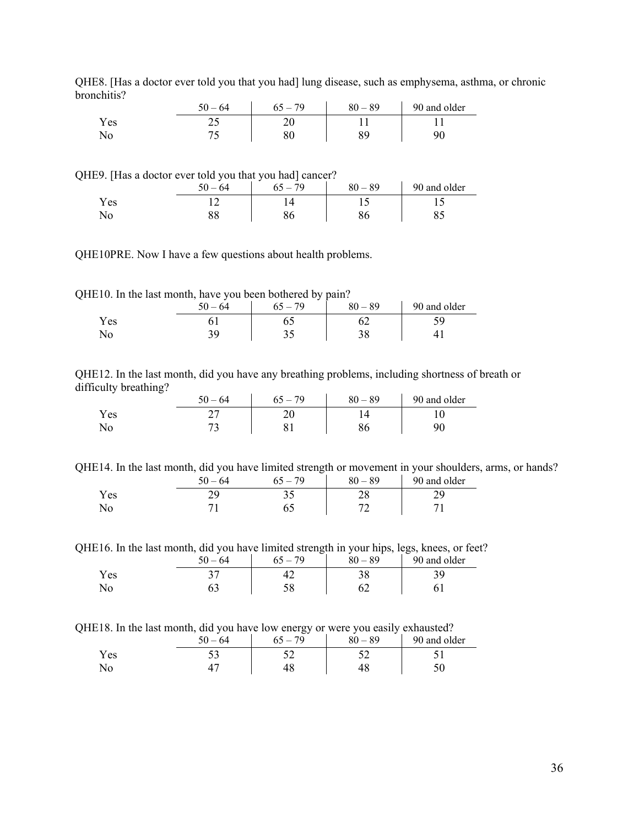|      | $50 - 64$ | $5 - 79$<br>65. | $80 - 89$ | 90 and older |
|------|-----------|-----------------|-----------|--------------|
| Y es | ر ب       | ∠∪              |           |              |
|      |           |                 | QΟ        | Jľ           |

QHE8. [Has a doctor ever told you that you had] lung disease, such as emphysema, asthma, or chronic bronchitis?

QHE9. [Has a doctor ever told you that you had] cancer?

|      | 64<br>50.<br>$\overline{\phantom{0}}$ | 79 | $80 - 89$ | 90 and older |
|------|---------------------------------------|----|-----------|--------------|
| Y es |                                       |    |           |              |
| 1NO  | oo                                    |    | ou        |              |

QHE10PRE. Now I have a few questions about health problems.

QHE10. In the last month, have you been bothered by pain?

|      | 64<br>50 | . 70<br>65 | $80 - 89$ | 90 and older |
|------|----------|------------|-----------|--------------|
| Y es |          | υ.         |           |              |
| No   | J .      | ◡          | ್ರ        |              |

QHE12. In the last month, did you have any breathing problems, including shortness of breath or difficulty breathing?

| . .<br>_ | 50<br>$-64$ | 70 | $-89$<br>80 | 90 and older |
|----------|-------------|----|-------------|--------------|
| Yes      | <u>_</u>    | ∠∪ |             |              |
| No       |             |    |             |              |

QHE14. In the last month, did you have limited strength or movement in your shoulders, arms, or hands?

|     | $50 - 64$ | 79<br>$65 - 7$ | $-89$<br>80 | 90 and older |
|-----|-----------|----------------|-------------|--------------|
| Yes |           | ت ب            | ∠∪          | 2 Q<br>ر ب   |
| No  |           |                | ∼           |              |

QHE16. In the last month, did you have limited strength in your hips, legs, knees, or feet?

|      | 64 | 70 | $-89$ | 90 and older |
|------|----|----|-------|--------------|
| Y es |    |    |       |              |
|      | ບບ |    |       |              |

QHE18. In the last month, did you have low energy or were you easily exhausted?

|     | $50 - 64$ | $ -$<br>$65 - 79$ | $80 - 89$ | 90 and older |
|-----|-----------|-------------------|-----------|--------------|
| Yes | ັ         |                   |           |              |
|     |           |                   |           |              |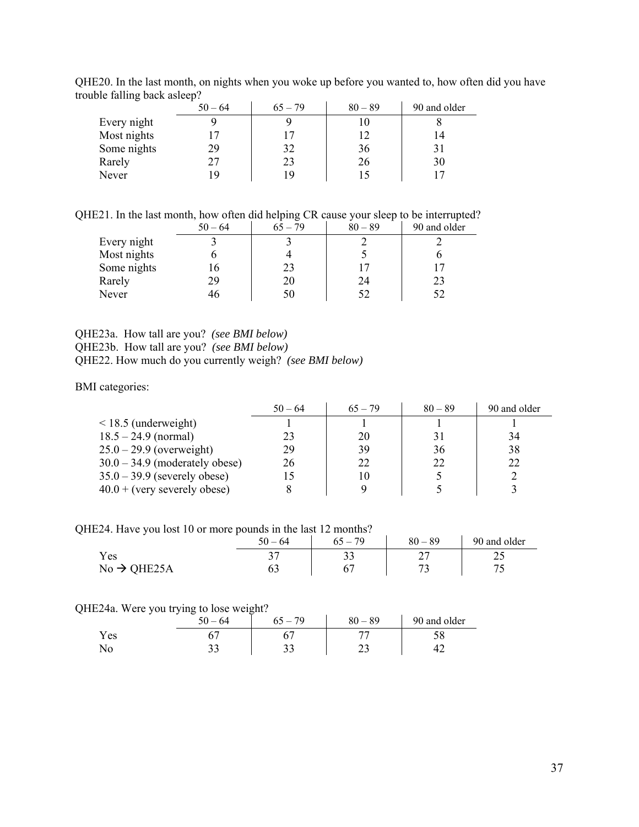|             | $50 - 64$ | $65 - 79$ | $80 - 89$ | 90 and older |  |  |
|-------------|-----------|-----------|-----------|--------------|--|--|
| Every night |           |           |           |              |  |  |
| Most nights |           |           |           | 14           |  |  |
| Some nights | 29        | 32        | 36        |              |  |  |
| Rarely      |           | 23        | 26        | 30           |  |  |
| Never       |           | ۱Q        |           |              |  |  |

QHE20. In the last month, on nights when you woke up before you wanted to, how often did you have trouble falling back asleep?

QHE21. In the last month, how often did helping CR cause your sleep to be interrupted?

|             | $50 - 64$ | $65 - 79$ | $80 - 89$ | 90 and older |
|-------------|-----------|-----------|-----------|--------------|
| Every night |           |           |           |              |
| Most nights |           |           |           |              |
| Some nights |           | 23        |           |              |
| Rarely      | 29        | 20        | 24        |              |
| Never       |           |           |           |              |

QHE23a. How tall are you? *(see BMI below)* QHE23b. How tall are you? *(see BMI below)* QHE22. How much do you currently weigh? *(see BMI below)* 

BMI categories:

|                                  | $50 - 64$ | $65 - 79$ | $80 - 89$ | 90 and older |
|----------------------------------|-----------|-----------|-----------|--------------|
| $\leq$ 18.5 (underweight)        |           |           |           |              |
| $18.5 - 24.9$ (normal)           | 23        | 20        | 31        | 34           |
| $25.0 - 29.9$ (overweight)       | 29        | 39        | 36        | 38           |
| $30.0 - 34.9$ (moderately obese) | 26        | 22        | 22        | 22           |
| $35.0 - 39.9$ (severely obese)   | 15        | 10        |           |              |
| $40.0 + (very severely obese)$   |           |           |           |              |

QHE24. Have you lost 10 or more pounds in the last 12 months?

|                         | $50 - 64$ | 79<br>$65 -$ | $80 - 89$ | 90 and older |
|-------------------------|-----------|--------------|-----------|--------------|
| Y es                    | ັ         |              | ∸         | ∠~           |
| $No \rightarrow QHE25A$ |           |              | רי<br>~   |              |

## QHE24a. Were you trying to lose weight?

|            | 64<br>50 | 79 | $80 - 89$ | 90 and older |
|------------|----------|----|-----------|--------------|
| Y es       |          |    |           | υo           |
| <b>INO</b> | ັບ       | ັ  | ر_        |              |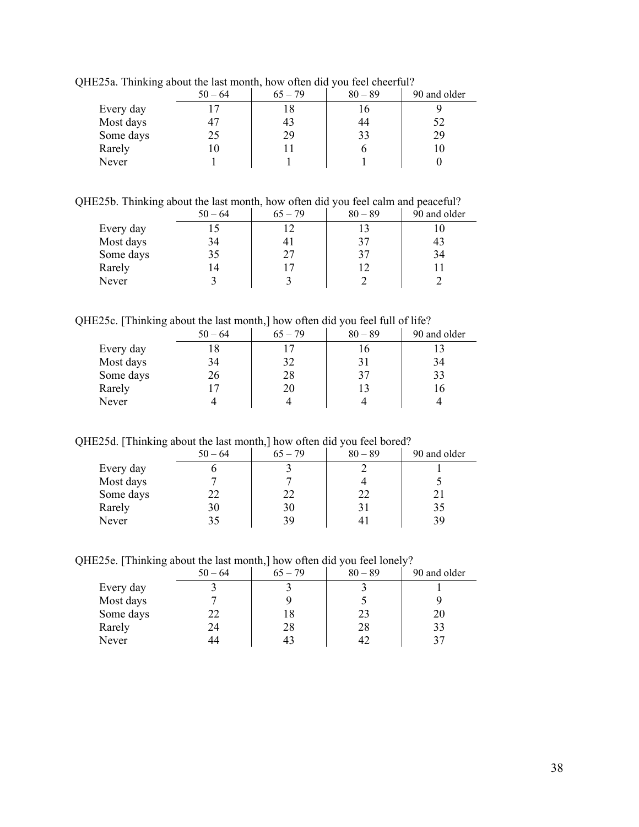| --0       | $50 - 64$      | $65 - 79$ | $80 - 89$ | 90 and older |
|-----------|----------------|-----------|-----------|--------------|
| Every day | $\overline{ }$ | 18        |           |              |
| Most days | 47             | 43        | 44        | 52           |
| Some days | 25             | 29        | 33        | 29           |
| Rarely    | l ()           |           |           | 10           |
| Never     |                |           |           |              |

QHE25a. Thinking about the last month, how often did you feel cheerful?

QHE25b. Thinking about the last month, how often did you feel calm and peaceful?

|           | $50 - 64$ | $65 - 79$      | $80 - 89$ | 90 and older |
|-----------|-----------|----------------|-----------|--------------|
| Every day |           |                |           |              |
| Most days | 34        | 4 <sub>1</sub> | 37        | 43           |
| Some days | 35        | 27             | 37        | 34           |
| Rarely    | 14        |                |           |              |
| Never     |           |                |           |              |

QHE25c. [Thinking about the last month,] how often did you feel full of life?

|           | $\overline{\phantom{0}}$ |           |           |           |              |
|-----------|--------------------------|-----------|-----------|-----------|--------------|
|           |                          | $50 - 64$ | $65 - 79$ | $80 - 89$ | 90 and older |
| Every day |                          |           |           |           |              |
| Most days |                          | 34        | 32        | 31        | 34           |
| Some days |                          | 26        | 28        | 37        | 33           |
| Rarely    |                          |           | 20        | 13        |              |
| Never     |                          |           |           |           |              |

QHE25d. [Thinking about the last month,] how often did you feel bored?

| ~         | $50 - 64$ | $65 - 79$ | $80 - 89$ | 90 and older |
|-----------|-----------|-----------|-----------|--------------|
| Every day |           |           |           |              |
| Most days |           |           |           |              |
| Some days | 22        | 22        | フフ        |              |
| Rarely    | 30        | 30        |           | 35           |
| Never     | 35        | 39        |           | 39           |

QHE25e. [Thinking about the last month,] how often did you feel lonely?

|           | $50 - 64$ | $65 - 79$ | $80 - 89$ | 90 and older |
|-----------|-----------|-----------|-----------|--------------|
| Every day |           |           |           |              |
| Most days |           |           |           |              |
| Some days |           | 18        | 23        | 20           |
| Rarely    | 24        | 28        | 28        | 33           |
| Never     |           |           | 41        |              |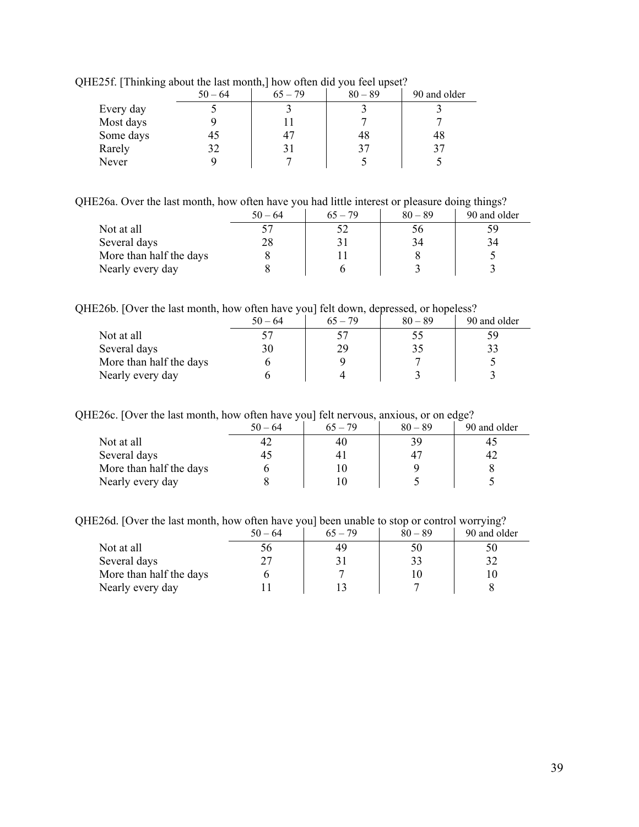|           | $50 - 64$ | $65 - 79$ | $80 - 89$ | 90 and older |
|-----------|-----------|-----------|-----------|--------------|
| Every day |           |           |           |              |
| Most days |           |           |           |              |
| Some days | 45        | 47        | 48        | 48           |
| Rarely    | 32        |           |           | 37           |
| Never     |           |           |           |              |

QHE25f. [Thinking about the last month,] how often did you feel upset?

QHE26a. Over the last month, how often have you had little interest or pleasure doing things?

|                         | $50 - 64$ | $65 - 79$ | $80 - 89$ | 90 and older |
|-------------------------|-----------|-----------|-----------|--------------|
| Not at all              |           |           | 56        | 59           |
| Several days            | 28        |           | 34        | 34           |
| More than half the days |           |           |           |              |
| Nearly every day        |           |           |           |              |

QHE26b. [Over the last month, how often have you] felt down, depressed, or hopeless?

|                         | $50 - 64$ | $65 - 79$ | $80 - 89$ | 90 and older |
|-------------------------|-----------|-----------|-----------|--------------|
| Not at all              |           |           |           | ٢g           |
| Several days            | 30        | 29        |           |              |
| More than half the days |           |           |           |              |
| Nearly every day        |           |           |           |              |

QHE26c. [Over the last month, how often have you] felt nervous, anxious, or on edge?

|                         | $50 - 64$ | $65 - 79$      | $80 - 89$ | 90 and older |
|-------------------------|-----------|----------------|-----------|--------------|
| Not at all              |           | 40             | 39        |              |
| Several days            |           | 4 <sub>1</sub> | 47        |              |
| More than half the days |           |                |           |              |
| Nearly every day        |           |                |           |              |

QHE26d. [Over the last month, how often have you] been unable to stop or control worrying?

|                         | $50 - 64$ | $65 - 79$ | $80 - 89$ | 90 and older |
|-------------------------|-----------|-----------|-----------|--------------|
| Not at all              | эb        | 49        | 50        | 50           |
| Several days            |           |           |           | 32           |
| More than half the days |           |           |           |              |
| Nearly every day        |           |           |           |              |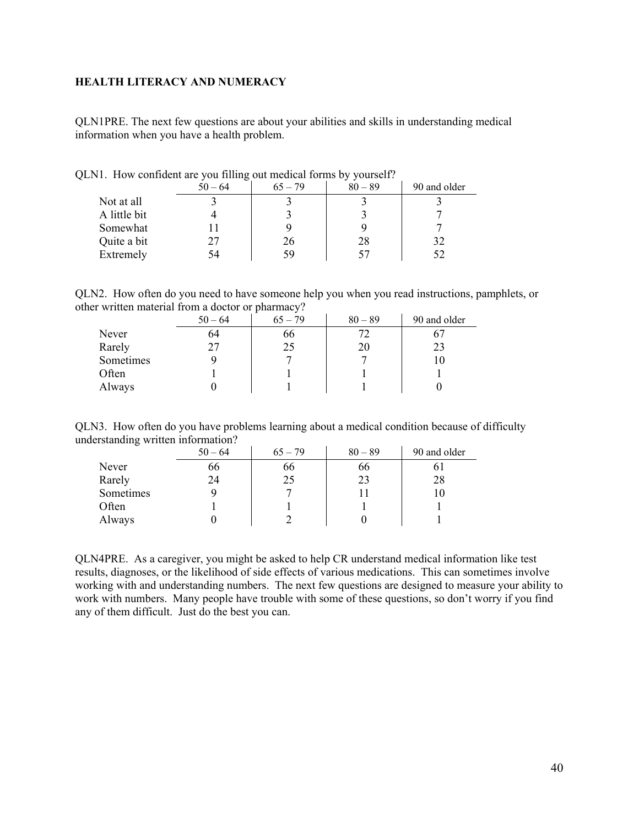## <span id="page-39-0"></span>**HEALTH LITERACY AND NUMERACY**

QLN1PRE. The next few questions are about your abilities and skills in understanding medical information when you have a health problem.

|              | O<br>$50 - 64$ | $65 - 79$ | $80 - 89$ | 90 and older |
|--------------|----------------|-----------|-----------|--------------|
| Not at all   |                |           |           |              |
| A little bit |                |           |           |              |
| Somewhat     |                |           |           |              |
| Quite a bit  |                | 26        | 28        | 32           |
| Extremely    | 54             | 59        | 57        | 52           |

QLN1. How confident are you filling out medical forms by yourself?

|  | QLN2. How often do you need to have someone help you when you read instructions, pamphlets, or |  |  |  |
|--|------------------------------------------------------------------------------------------------|--|--|--|
|  | other written material from a doctor or pharmacy?                                              |  |  |  |

|           | $50 - 64$ | $65 - 79$ | $80 - 89$ | 90 and older |
|-----------|-----------|-----------|-----------|--------------|
| Never     | 64        | 66        |           |              |
| Rarely    |           | 25        | 20        |              |
| Sometimes |           |           |           |              |
| Often     |           |           |           |              |
| Always    |           |           |           |              |

|                                    | QLN3. How often do you have problems learning about a medical condition because of difficulty |  |  |
|------------------------------------|-----------------------------------------------------------------------------------------------|--|--|
| understanding written information? |                                                                                               |  |  |

| ັ         | $50 - 64$ | $65 - 79$ | $80 - 89$ | 90 and older |
|-----------|-----------|-----------|-----------|--------------|
| Never     | 66        | 66        | 66        | 01           |
| Rarely    | 24        | 25        | 23        | 28           |
| Sometimes |           |           |           | 10           |
| Often     |           |           |           |              |
| Always    |           |           |           |              |

QLN4PRE. As a caregiver, you might be asked to help CR understand medical information like test results, diagnoses, or the likelihood of side effects of various medications. This can sometimes involve working with and understanding numbers. The next few questions are designed to measure your ability to work with numbers. Many people have trouble with some of these questions, so don't worry if you find any of them difficult. Just do the best you can.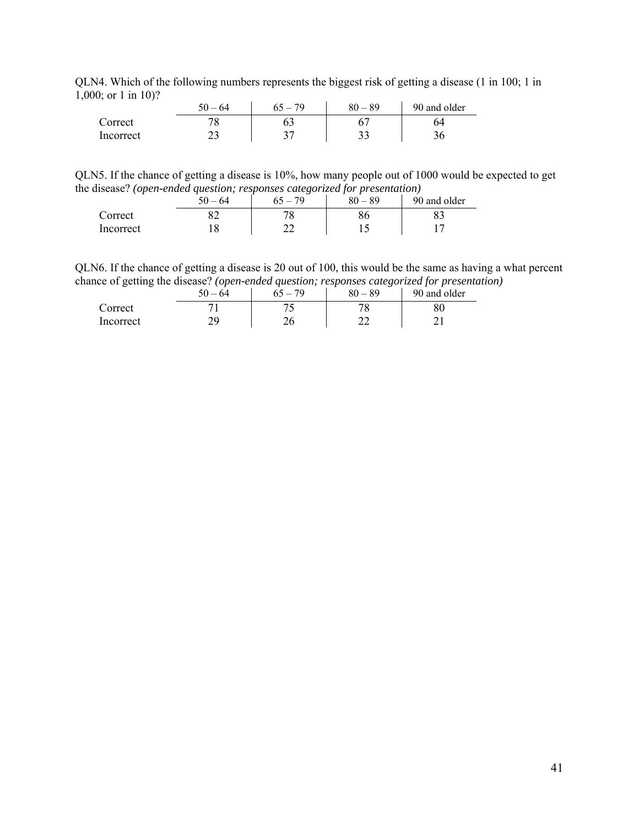QLN4. Which of the following numbers represents the biggest risk of getting a disease (1 in 100; 1 in 1,000; or 1 in 10)?

|           | $50 - 64$ | 79 | $-89$<br>80 | 90 and older |
|-----------|-----------|----|-------------|--------------|
| Correct   |           |    |             | 64           |
| Incorrect | ر _       |    | n 1<br>ັ    |              |

QLN5. If the chance of getting a disease is 10%, how many people out of 1000 would be expected to get the disease? *(open-ended question; responses categorized for presentation)*

| _______   | $50 - 64$ | -<br>70 | __<br>$-89$<br>80 | 90 and older |
|-----------|-----------|---------|-------------------|--------------|
| Correct   | ◡∠        |         | ou                |              |
| Incorrect |           | --      |                   |              |

QLN6. If the chance of getting a disease is 20 out of 100, this would be the same as having a what percent chance of getting the disease? *(open-ended question; responses categorized for presentation)*

| ▱<br>▱    | .<br>50 – 64 | .<br>$65 - 79$ | $80 - 89$ | .<br>90 and older |
|-----------|--------------|----------------|-----------|-------------------|
| Correct   |              |                | 70        |                   |
| Incorrect |              |                |           |                   |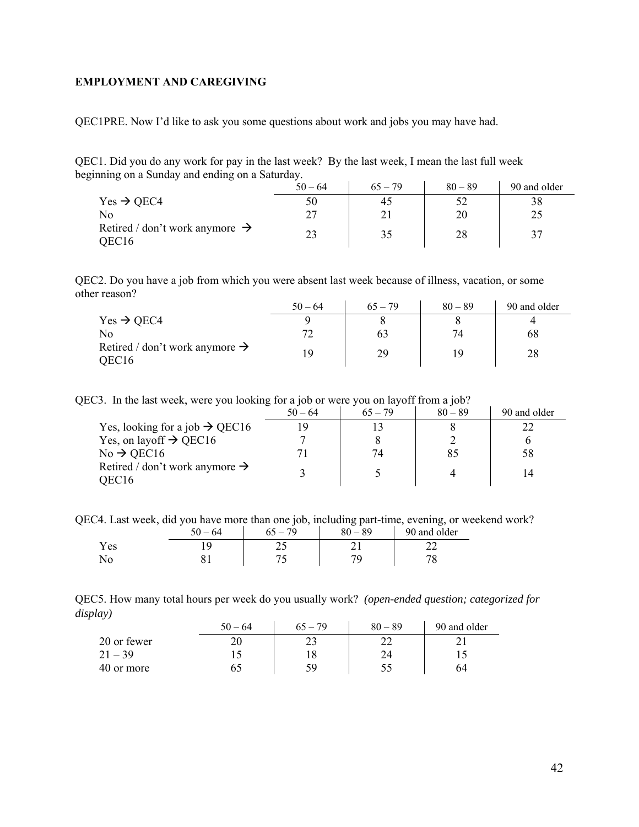## <span id="page-41-0"></span>**EMPLOYMENT AND CAREGIVING**

QEC1PRE. Now I'd like to ask you some questions about work and jobs you may have had.

QEC1. Did you do any work for pay in the last week? By the last week, I mean the last full week beginning on a Sunday and ending on a Saturday.

|                                                                 | $50 - 64$ | $65 - 79$ | $80 - 89$ | 90 and older |
|-----------------------------------------------------------------|-----------|-----------|-----------|--------------|
| $Yes \rightarrow OEC4$                                          | 50        | 45        |           | 38           |
| No                                                              |           |           | 20        | 25           |
| Retired / don't work anymore $\rightarrow$<br>OEC <sub>16</sub> |           | 35        | 28        |              |

QEC2. Do you have a job from which you were absent last week because of illness, vacation, or some other reason?  $\mathcal{L}^{\mathcal{L}}$ 

|                                                                 | $50 - 64$ | $65 - 79$ | $80 - 89$ | 90 and older |
|-----------------------------------------------------------------|-----------|-----------|-----------|--------------|
| $Yes \rightarrow QEC4$                                          |           |           |           |              |
| No                                                              |           | 03        | 74        | 68           |
| Retired / don't work anymore $\rightarrow$<br>OEC <sub>16</sub> | 10        | 29        |           | 28           |

QEC3. In the last week, were you looking for a job or were you on layoff from a job?

|                                                     | $50 - 64$ | $65 - 79$ | $80 - 89$ | 90 and older |
|-----------------------------------------------------|-----------|-----------|-----------|--------------|
| Yes, looking for a job $\rightarrow$ QEC16          |           |           |           |              |
| Yes, on layoff $\rightarrow$ QEC16                  |           |           |           |              |
| $No \rightarrow$ QEC16                              |           | 74        |           | 58           |
| Retired / don't work anymore $\rightarrow$<br>OEC16 |           |           |           |              |

QEC4. Last week, did you have more than one job, including part-time, evening, or weekend work?

|     | $-64$ | 79 | $-89$<br>80 | 90 and older |
|-----|-------|----|-------------|--------------|
| Yes |       |    |             |              |
| No  |       |    |             |              |

QEC5. How many total hours per week do you usually work? *(open-ended question; categorized for display)* 

|             | $50 - 64$ | $65 - 79$ | $80 - 89$ | 90 and older |
|-------------|-----------|-----------|-----------|--------------|
| 20 or fewer |           |           |           |              |
| $21 - 39$   |           | 18        |           |              |
| 40 or more  |           | 59        |           | 64           |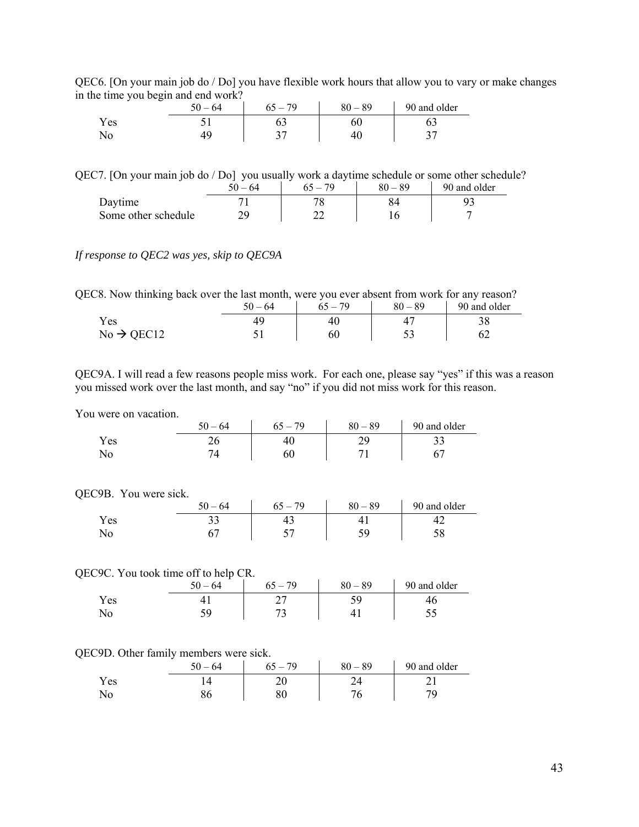| QEC6. [On your main job do / Do] you have flexible work hours that allow you to vary or make changes |  |  |
|------------------------------------------------------------------------------------------------------|--|--|
| in the time you begin and end work?                                                                  |  |  |

| -    | J | $50 - 64$ | $65 - 79$ | $80 - 89$ | 90 and older |
|------|---|-----------|-----------|-----------|--------------|
| Y es |   |           |           | DΨ.       |              |
|      |   |           |           |           |              |

#### QEC7. [On your main job do / Do] you usually work a daytime schedule or some other schedule?

|                     | $50 - 64$ | $-79$ | $80 - 89$ | 90 and older |
|---------------------|-----------|-------|-----------|--------------|
| Daytime             |           | ってい   |           |              |
| Some other schedule |           |       |           |              |

### *If response to QEC2 was yes, skip to QEC9A*

QEC8. Now thinking back over the last month, were you ever absent from work for any reason?

|                        | $50 - 64$ | $1 - 79$ | $80 - 89$ | 90 and older |
|------------------------|-----------|----------|-----------|--------------|
| Yes                    |           | 4u       |           | 20           |
| $No \rightarrow QEC12$ | ັ         | 60       | ັ         |              |

QEC9A. I will read a few reasons people miss work. For each one, please say "yes" if this was a reason you missed work over the last month, and say "no" if you did not miss work for this reason.

You were on vacation.

|     | $50 - 64$ | 70<br>$\overline{\phantom{0}}$ | $-89$<br>80 | 90 and older |
|-----|-----------|--------------------------------|-------------|--------------|
| Yes | ∠∪        |                                | ገ(ኔ<br>∼    | ີ~           |
| N0  |           |                                |             |              |

#### QEC9B. You were sick.

|     | $50 - 64$ | - 79<br>$65 - 7$ | $80 - 89$ | 90 and older |
|-----|-----------|------------------|-----------|--------------|
| Yes | ັ         | т.,              |           |              |
| No  |           |                  | ر ب       | υo           |

#### QEC9C. You took time off to help CR.

|      | -<br>$50 - 64$ | 79 | $-89$<br>80 | 90 and older |
|------|----------------|----|-------------|--------------|
| Y es |                |    | ر ب         |              |
|      |                |    |             |              |

#### QEC9D. Other family members were sick.

|      | $50 - 64$ | 79<br>$\overline{\phantom{a}}$ | $-89$<br>80 | 90 and older |
|------|-----------|--------------------------------|-------------|--------------|
| Y es |           | ∠∪                             |             |              |
|      | ου        |                                |             | $70^{\circ}$ |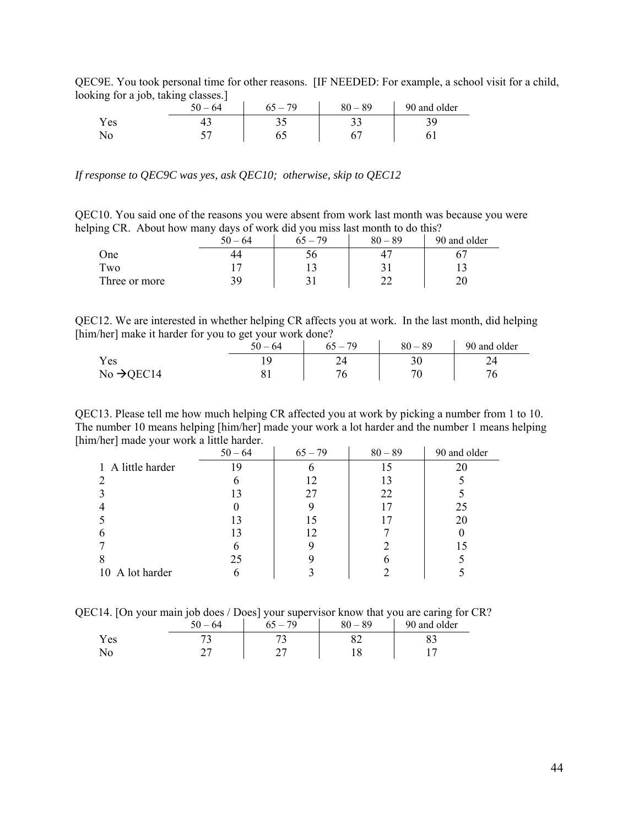| $\min_{\mathbf{z}}$ for a foo, taking classes. F |           |           |           |              |  |  |
|--------------------------------------------------|-----------|-----------|-----------|--------------|--|--|
|                                                  | $50 - 64$ | $65 - 79$ | $80 - 89$ | 90 and older |  |  |
| Y es                                             |           |           | ◡         |              |  |  |
| No                                               |           |           |           |              |  |  |

QEC9E. You took personal time for other reasons. [IF NEEDED: For example, a school visit for a child, looking for a job, taking classes.]

*If response to QEC9C was yes, ask QEC10; otherwise, skip to QEC12* 

QEC10. You said one of the reasons you were absent from work last month was because you were helping CR. About how many days of work did you miss last month to do this?

| ັ             | $50 - 64$ | . 79 | $80 - 89$ | 90 and older |
|---------------|-----------|------|-----------|--------------|
| One           | 44        |      |           |              |
| Two           | . .       |      |           |              |
| Three or more | 39        |      | ົ         |              |

QEC12. We are interested in whether helping CR affects you at work. In the last month, did helping [him/her] make it harder for you to get your work done?

|                        | ▱<br>$50 - 64$ | $65 - 79$ | $80 - 89$ | 90 and older |
|------------------------|----------------|-----------|-----------|--------------|
| Yes                    |                |           |           |              |
| $No \rightarrow QEC14$ |                | 76        |           |              |

QEC13. Please tell me how much helping CR affected you at work by picking a number from 1 to 10. The number 10 means helping [him/her] made your work a lot harder and the number 1 means helping [him/her] made your work a little harder.

| -                 | $50 - 64$ | $65 - 79$ | $80 - 89$ | 90 and older |
|-------------------|-----------|-----------|-----------|--------------|
| 1 A little harder | 19        |           |           | 20           |
|                   | 0         | 12        | 13        |              |
|                   | 13        | 27        | 22        |              |
|                   |           |           | 17        | 25           |
|                   | 13        |           | 17        | 20           |
|                   | 13        |           |           |              |
|                   | 6         |           |           |              |
|                   | 25        |           |           |              |
| 10 A lot harder   | 6         |           |           |              |

QEC14. [On your main job does / Does] your supervisor know that you are caring for CR?

|      | 50<br>$-64$ | --<br>$\sim$<br>79 | _<br>80<br>89<br>$\overline{\phantom{0}}$ | 90 and older |
|------|-------------|--------------------|-------------------------------------------|--------------|
| Y es | -           |                    | ےں                                        | ບປ           |
| ΝO   | ¬∼<br>-     | -                  | U                                         |              |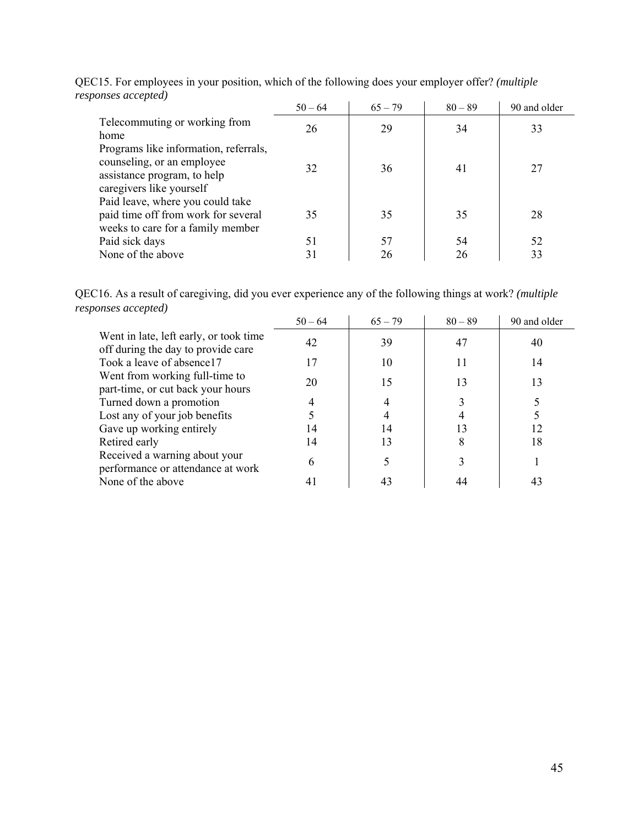| $s$ ponses accepica)                                                                                                           | $50 - 64$ | $65 - 79$ | $80 - 89$ | 90 and older |
|--------------------------------------------------------------------------------------------------------------------------------|-----------|-----------|-----------|--------------|
| Telecommuting or working from<br>home                                                                                          | 26        | 29        | 34        | 33           |
| Programs like information, referrals,<br>counseling, or an employee<br>assistance program, to help<br>caregivers like yourself | 32        | 36        | 41        | 27           |
| Paid leave, where you could take<br>paid time off from work for several<br>weeks to care for a family member                   | 35        | 35        | 35        | 28           |
| Paid sick days                                                                                                                 | 51        | 57        | 54        | 52           |
| None of the above                                                                                                              | 31        | 26        | 26        | 33           |

QEC15. For employees in your position, which of the following does your employer offer? *(multiple responses accepted)*

QEC16. As a result of caregiving, did you ever experience any of the following things at work? *(multiple responses accepted)*

|                                                                              | $50 - 64$ | $65 - 79$ | $80 - 89$ | 90 and older |
|------------------------------------------------------------------------------|-----------|-----------|-----------|--------------|
| Went in late, left early, or took time<br>off during the day to provide care | 42        | 39        | 47        | 40           |
| Took a leave of absence 17                                                   | 17        | 10        |           | 14           |
| Went from working full-time to<br>part-time, or cut back your hours          | 20        | 15        | 13        | 13           |
| Turned down a promotion                                                      |           |           |           |              |
| Lost any of your job benefits                                                |           |           |           |              |
| Gave up working entirely                                                     | 14        | 14        |           | 12           |
| Retired early                                                                | 14        | 13        |           | 18           |
| Received a warning about your<br>performance or attendance at work           | 6         |           |           |              |
| None of the above                                                            |           | 43        |           | 43           |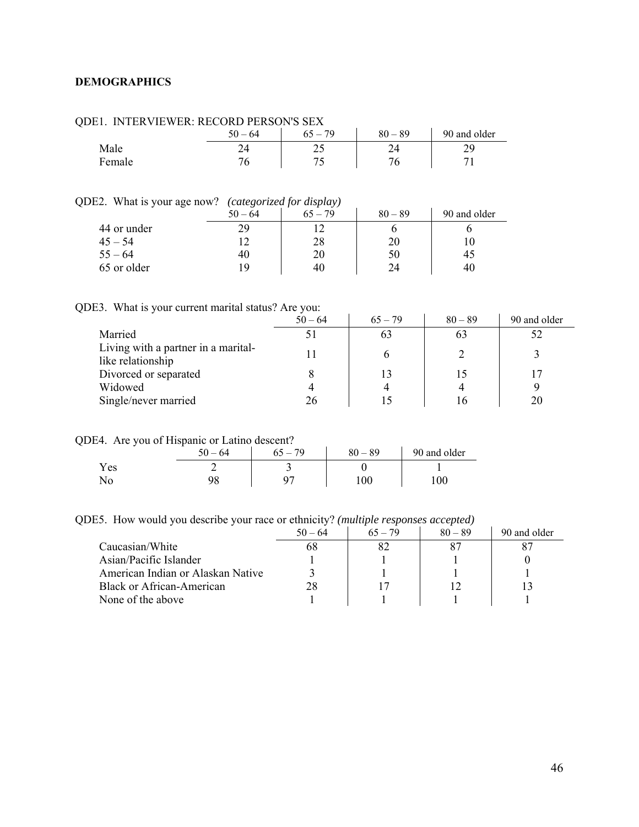## <span id="page-45-0"></span>**DEMOGRAPHICS**

| .      |           |           |           |              |  |
|--------|-----------|-----------|-----------|--------------|--|
|        | $50 - 64$ | $65 - 79$ | $80 - 89$ | 90 and older |  |
| Male   |           |           |           |              |  |
| Female |           |           |           |              |  |

### QDE1. INTERVIEWER: RECORD PERSON'S SEX

## QDE2. What is your age now? *(categorized for display)*

|             | $50 - 64$ | . .<br>$65 - 79$ | $80 - 89$ | 90 and older |
|-------------|-----------|------------------|-----------|--------------|
| 44 or under | 29        |                  |           |              |
| $45 - 54$   |           | 28               | 20        |              |
| $55 - 64$   | 40        | 20               | 50        | 45           |
| 65 or older | 19        | 40               | 24        | 40           |

QDE3. What is your current marital status? Are you:

|                                                          | $50 - 64$ | $65 - 79$ | $80 - 89$ | 90 and older |
|----------------------------------------------------------|-----------|-----------|-----------|--------------|
| Married                                                  |           | 63        | 63        |              |
| Living with a partner in a marital-<br>like relationship |           |           |           |              |
| Divorced or separated                                    |           |           |           |              |
| Widowed                                                  |           |           |           |              |
| Single/never married                                     | 26        |           |           | 20           |

QDE4. Are you of Hispanic or Latino descent?

|            | 50<br>64<br>$\overline{\phantom{m}}$ | $-79$ | $80 - 89$ | 90 and older |
|------------|--------------------------------------|-------|-----------|--------------|
| τT<br>Y es |                                      | ້     |           |              |
| . ∨0∖      | ۵Q<br>76                             | 07    | 00        | $100\,$      |

QDE5. How would you describe your race or ethnicity? *(multiple responses accepted)* 

|                                   | $50 - 64$ | $65 - 79$ | $80 - 89$ | 90 and older |
|-----------------------------------|-----------|-----------|-----------|--------------|
| Caucasian/White                   |           |           |           |              |
| Asian/Pacific Islander            |           |           |           |              |
| American Indian or Alaskan Native |           |           |           |              |
| Black or African-American         | 28        |           |           |              |
| None of the above                 |           |           |           |              |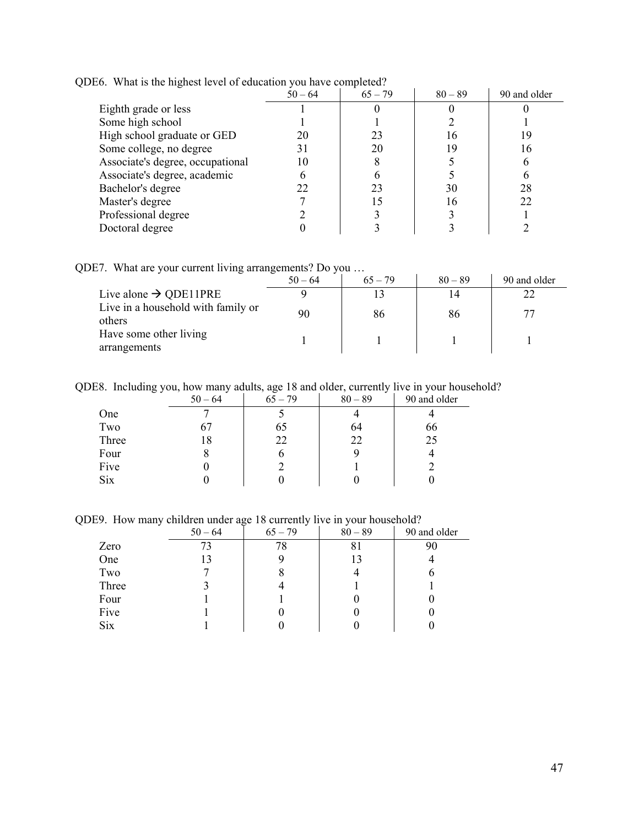|                                  | $50 - 64$ | $65 - 79$ | $80 - 89$ | 90 and older |
|----------------------------------|-----------|-----------|-----------|--------------|
| Eighth grade or less             |           |           |           |              |
| Some high school                 |           |           |           |              |
| High school graduate or GED      | 20        | 23        |           |              |
| Some college, no degree          | 31        | 20        | 19        | 16           |
| Associate's degree, occupational | 10        |           |           |              |
| Associate's degree, academic     |           |           |           |              |
| Bachelor's degree                |           | 23        | 30        | 28           |
| Master's degree                  |           |           | 16        | 22           |
| Professional degree              |           |           |           |              |
| Doctoral degree                  |           |           |           |              |

QDE6. What is the highest level of education you have completed?

QDE7. What are your current living arrangements? Do you …

| --- -------- -- ---- <del>-</del> --------   | $50 - 64$ | $65 - 79$ | $80 - 89$ | 90 and older |
|----------------------------------------------|-----------|-----------|-----------|--------------|
| Live alone $\rightarrow$ QDE11PRE            |           |           | ∣4        |              |
| Live in a household with family or<br>others | 90        | 86        | 86        |              |
| Have some other living<br>arrangements       |           |           |           |              |

QDE8. Including you, how many adults, age 18 and older, currently live in your household?

|       | $50 - 64$ | $65 - 79$ | $80 - 89$ | 90 and older |
|-------|-----------|-----------|-----------|--------------|
| One   |           |           |           |              |
| Two   | 67        | 65        | 64        | 66           |
| Three | 18        | 22        | 22        | 25           |
| Four  | 0         |           |           |              |
| Five  |           |           |           |              |
| Six   |           |           |           |              |

QDE9. How many children under age 18 currently live in your household?

|            | $50 - 64$ | $65 - 79$ | $80 - 89$ | 90 and older |
|------------|-----------|-----------|-----------|--------------|
| Zero       | 73        | 78        | 81        | 90           |
| One        | 13        |           | 13        |              |
| Two        |           |           |           |              |
| Three      |           |           |           |              |
| Four       |           |           |           |              |
| Five       |           |           |           |              |
| <b>Six</b> |           |           |           |              |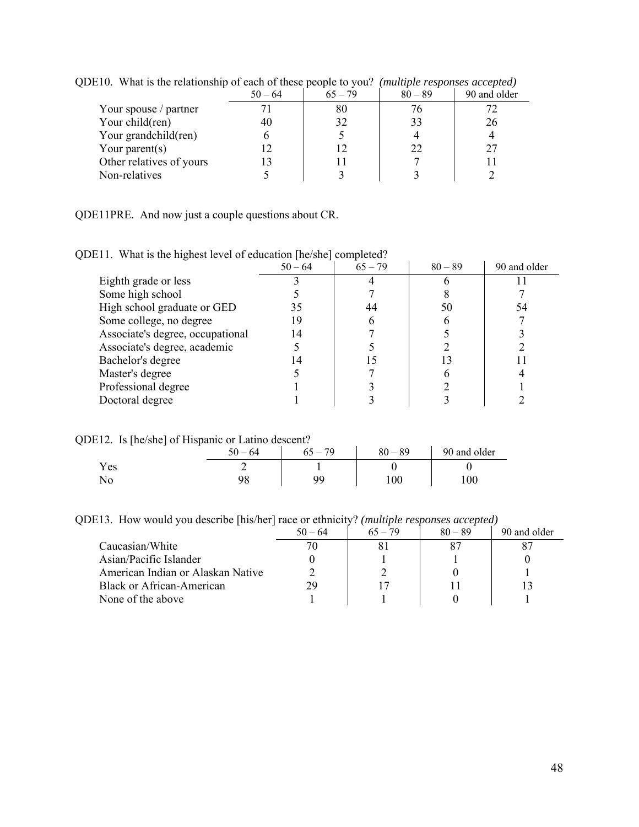|                          | $50 - 64$ | $65 - 79$ | $80 - 89$ | 90 and older |
|--------------------------|-----------|-----------|-----------|--------------|
| Your spouse / partner    |           | 80        | 76        |              |
| Your child(ren)          | 40        | 32        | 33        | 26           |
| Your grandchild(ren)     |           |           |           |              |
| Your parent $(s)$        |           |           | 22        | 27           |
| Other relatives of yours |           |           |           |              |
| Non-relatives            |           |           |           |              |

QDE10. What is the relationship of each of these people to you? *(multiple responses accepted)* 

QDE11PRE. And now just a couple questions about CR.

QDE11. What is the highest level of education [he/she] completed?

|                                  | $50 - 64$ | $65 - 79$ | $80 - 89$ | 90 and older |
|----------------------------------|-----------|-----------|-----------|--------------|
| Eighth grade or less             |           |           |           |              |
| Some high school                 |           |           |           |              |
| High school graduate or GED      | 35        | 44        | 50        | 54           |
| Some college, no degree          | 19        |           |           |              |
| Associate's degree, occupational | 14        |           |           |              |
| Associate's degree, academic     |           |           |           |              |
| Bachelor's degree                |           |           |           |              |
| Master's degree                  |           |           |           |              |
| Professional degree              |           |           |           |              |
| Doctoral degree                  |           |           |           |              |

QDE12. Is [he/she] of Hispanic or Latino descent?

| -    | 64<br>50<br>$\equiv$ | $65 - 79$ | $80 - 89$ | 90 and older |
|------|----------------------|-----------|-----------|--------------|
| Y es |                      |           |           |              |
| No   | ገር                   | ۵a        | 100       | 00           |

QDE13. How would you describe [his/her] race or ethnicity? *(multiple responses accepted)*

|                                   | $50 - 64$ | $65 - 79$ | $80 - 89$ | 90 and older |
|-----------------------------------|-----------|-----------|-----------|--------------|
| Caucasian/White                   |           |           |           |              |
| Asian/Pacific Islander            |           |           |           |              |
| American Indian or Alaskan Native |           |           |           |              |
| <b>Black or African-American</b>  | 29        |           |           |              |
| None of the above                 |           |           |           |              |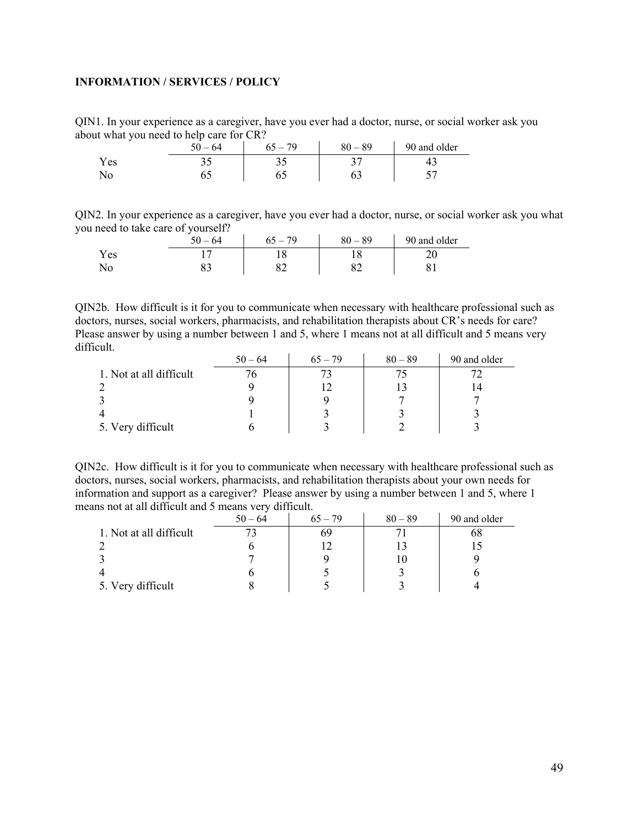## <span id="page-48-0"></span>**INFORMATION / SERVICES / POLICY**

QIN1. In your experience as a caregiver, have you ever had a doctor, nurse, or social worker ask you about what you need to help care for CR?

| ັ    | $50 -$<br>64 | 70<br>$\ddot{\phantom{0}}$ | $-89$<br>80 | 90 and older |
|------|--------------|----------------------------|-------------|--------------|
| Y es | ر. ر         |                            | 35<br>ັ     |              |
| No   | ິ            |                            | ບ           |              |

QIN2. In your experience as a caregiver, have you ever had a doctor, nurse, or social worker ask you what you need to take care of yourself?

|      | $50 - 64$ | $65 - 79$ | $80 - 89$ | 90 and older |
|------|-----------|-----------|-----------|--------------|
| Y es |           |           |           |              |
| ΝO   | ບມ        |           |           |              |

QIN2b. How difficult is it for you to communicate when necessary with healthcare professional such as doctors, nurses, social workers, pharmacists, and rehabilitation therapists about CR's needs for care? Please answer by using a number between 1 and 5, where 1 means not at all difficult and 5 means very difficult.

|                         | $50 - 64$ | $65 - 79$ | $80 - 89$ | 90 and older |
|-------------------------|-----------|-----------|-----------|--------------|
| 1. Not at all difficult |           |           |           |              |
|                         |           |           |           |              |
|                         |           |           |           |              |
|                         |           |           |           |              |
| 5. Very difficult       |           |           |           |              |

QIN2c. How difficult is it for you to communicate when necessary with healthcare professional such as doctors, nurses, social workers, pharmacists, and rehabilitation therapists about your own needs for information and support as a caregiver? Please answer by using a number between 1 and 5, where 1 means not at all difficult and 5 means very difficult.

|                         | $50 - 64$ | $65 - 79$ | $80 - 89$ | 90 and older |
|-------------------------|-----------|-----------|-----------|--------------|
| 1. Not at all difficult |           | 69        |           | oð           |
|                         |           |           |           |              |
|                         |           |           |           |              |
|                         |           |           |           |              |
| 5. Very difficult       |           |           |           |              |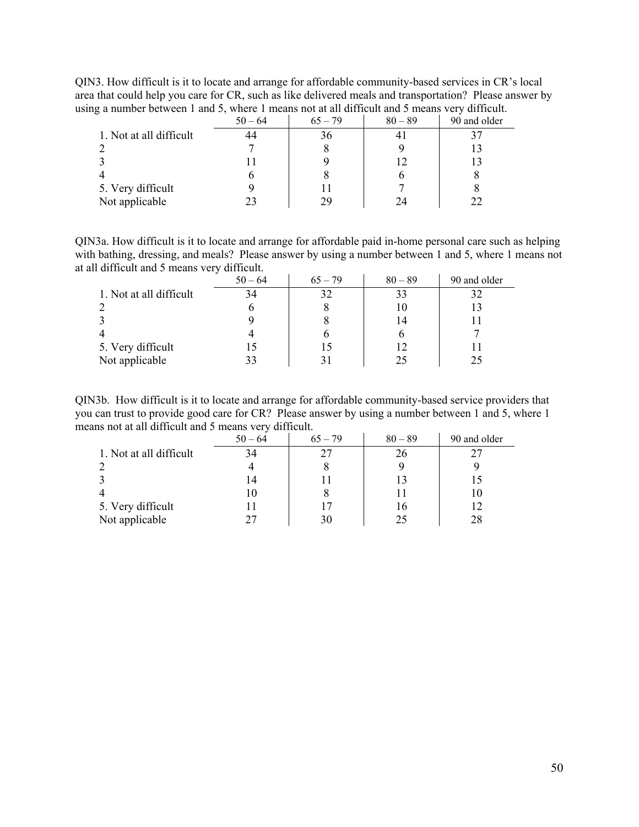QIN3. How difficult is it to locate and arrange for affordable community-based services in CR's local area that could help you care for CR, such as like delivered meals and transportation? Please answer by using a number between 1 and 5, where 1 means not at all difficult and 5 means very difficult.

| ້                       | $50 - 64$ | $65 - 79$ | $80 - 89$ | 90 and older |
|-------------------------|-----------|-----------|-----------|--------------|
| 1. Not at all difficult | 44        | 36        |           |              |
|                         |           |           |           |              |
|                         |           |           |           |              |
|                         |           |           |           |              |
| 5. Very difficult       |           |           |           |              |
| Not applicable          |           | 29        |           |              |

QIN3a. How difficult is it to locate and arrange for affordable paid in-home personal care such as helping with bathing, dressing, and meals? Please answer by using a number between 1 and 5, where 1 means not at all difficult and 5 means very difficult.

|                         | $50 - 64$ | $65 - 79$ | $80 - 89$ | 90 and older |
|-------------------------|-----------|-----------|-----------|--------------|
| 1. Not at all difficult | 34        |           | 33        | 32           |
|                         |           |           |           |              |
|                         |           |           | 14        |              |
|                         |           |           |           |              |
| 5. Very difficult       |           |           |           |              |
| Not applicable          |           |           | 25        | 25           |

QIN3b. How difficult is it to locate and arrange for affordable community-based service providers that you can trust to provide good care for CR? Please answer by using a number between 1 and 5, where 1 means not at all difficult and 5 means very difficult.

|                         | $50 - 64$ | $65 - 79$ | $80 - 89$ | 90 and older |
|-------------------------|-----------|-----------|-----------|--------------|
| 1. Not at all difficult | 34        |           | 26        |              |
|                         |           |           |           |              |
|                         | 14        |           | ΓЗ        |              |
|                         | 10        |           |           | 10           |
| 5. Very difficult       |           |           | 16        |              |
| Not applicable          |           | 30        | 25        | 28           |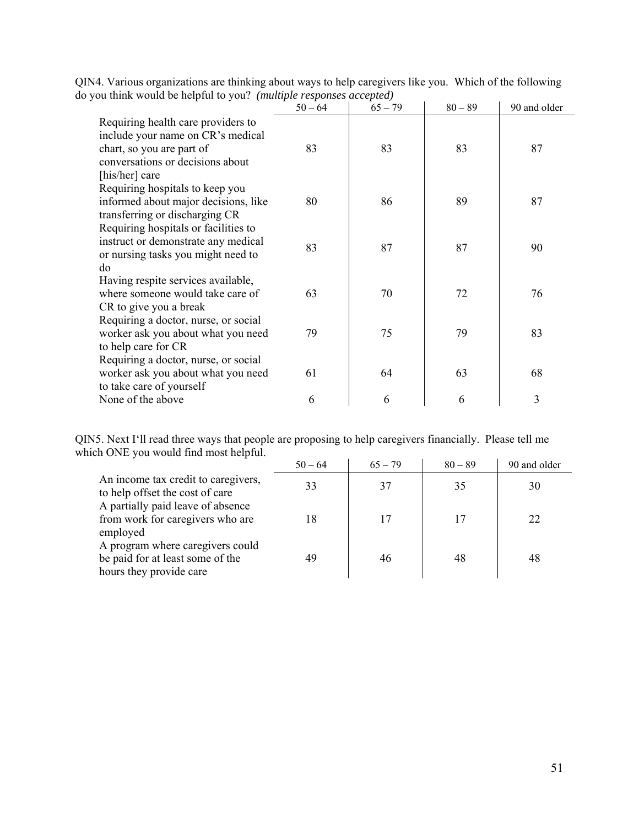| $\alpha$ and $\alpha$ or the $\alpha$ is the $\alpha$ is the complete the contract of $\alpha$                                                             | $50 - 64$ | $65 - 79$ | $80 - 89$ | 90 and older |
|------------------------------------------------------------------------------------------------------------------------------------------------------------|-----------|-----------|-----------|--------------|
| Requiring health care providers to<br>include your name on CR's medical<br>chart, so you are part of<br>conversations or decisions about<br>[his/her] care | 83        | 83        | 83        | 87           |
| Requiring hospitals to keep you<br>informed about major decisions, like<br>transferring or discharging CR                                                  | 80        | 86        | 89        | 87           |
| Requiring hospitals or facilities to<br>instruct or demonstrate any medical<br>or nursing tasks you might need to<br>do                                    | 83        | 87        | 87        | 90           |
| Having respite services available,<br>where someone would take care of<br>CR to give you a break                                                           | 63        | 70        | 72        | 76           |
| Requiring a doctor, nurse, or social<br>worker ask you about what you need<br>to help care for CR                                                          | 79        | 75        | 79        | 83           |
| Requiring a doctor, nurse, or social<br>worker ask you about what you need<br>to take care of yourself                                                     | 61        | 64        | 63        | 68           |
| None of the above                                                                                                                                          | 6         | 6         | 6         | 3            |

QIN4. Various organizations are thinking about ways to help caregivers like you. Which of the following do you think would be helpful to you? *(multiple responses accepted)* 

QIN5. Next I'll read three ways that people are proposing to help caregivers financially. Please tell me which ONE you would find most helpful.

|                                                                                                 | $50 - 64$ | $65 - 79$ | $80 - 89$ | 90 and older |
|-------------------------------------------------------------------------------------------------|-----------|-----------|-----------|--------------|
| An income tax credit to caregivers,<br>to help offset the cost of care                          | 33        | 37        | 35        | 30           |
| A partially paid leave of absence<br>from work for caregivers who are<br>employed               | 18        |           |           | 22           |
| A program where caregivers could<br>be paid for at least some of the<br>hours they provide care | 49        | 46        | 48        | 48           |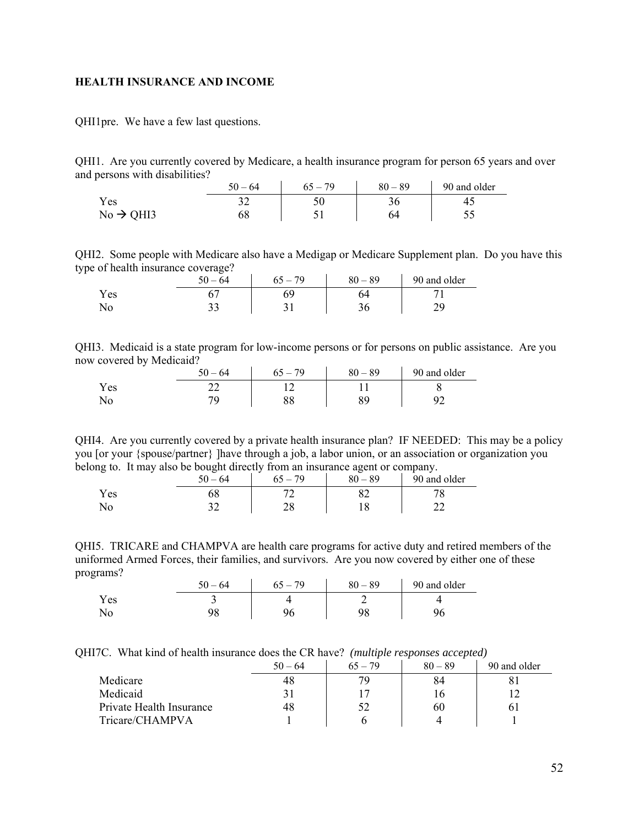### <span id="page-51-0"></span>**HEALTH INSURANCE AND INCOME**

QHI1pre. We have a few last questions.

QHI1. Are you currently covered by Medicare, a health insurance program for person 65 years and over and persons with disabilities?

|                       | $50 - 64$ | $65 - 79$ | $80 - 89$ | 90 and older |
|-----------------------|-----------|-----------|-----------|--------------|
| <b>Yes</b>            | ◡         |           |           | 40           |
| $No \rightarrow QHI3$ |           |           |           |              |

QHI2. Some people with Medicare also have a Medigap or Medicare Supplement plan. Do you have this type of health insurance coverage?

|      | -<br>64<br>50.<br>$\overline{\phantom{a}}$ | 70<br>ר ח | $0 - 89$<br>80 | 90 and older   |
|------|--------------------------------------------|-----------|----------------|----------------|
| í es |                                            |           | 74             |                |
| ΝO   | າາ<br>ັບ                                   | ັ້        | J v            | טר<br><u>.</u> |

QHI3. Medicaid is a state program for low-income persons or for persons on public assistance. Are you now covered by Medicaid?  $\mathcal{L}_{\rm{max}}$  $\sim 10^{-1}$  $\sim$ 

|     | 50<br>64                 | 70<br>$\overline{\phantom{0}}$ | $-89$<br>80 | 90 and older |
|-----|--------------------------|--------------------------------|-------------|--------------|
| Yes |                          |                                |             |              |
| No  | $\overline{\phantom{a}}$ |                                |             |              |

QHI4. Are you currently covered by a private health insurance plan? IF NEEDED: This may be a policy you [or your {spouse/partner} ]have through a job, a labor union, or an association or organization you belong to. It may also be bought directly from an insurance agent or company.

| -               | . . | -<br>$\epsilon$ $\alpha$<br>$-64$ | 70        | -<br>89<br>80<br>$\overline{\phantom{0}}$ | -<br>90 and older |
|-----------------|-----|-----------------------------------|-----------|-------------------------------------------|-------------------|
| $1 \text{ }$ es |     | υo                                | −         | ∟ن                                        |                   |
| 1 N O           |     | ົ                                 | ን ር<br>∠∪ |                                           | ^^<br>--          |

QHI5. TRICARE and CHAMPVA are health care programs for active duty and retired members of the uniformed Armed Forces, their families, and survivors. Are you now covered by either one of these programs?

|                      | 50<br>$-64$ | 79 | $-89$<br>80 | 90 and older |
|----------------------|-------------|----|-------------|--------------|
| $\mathbf{v}$<br>Y es | -           |    |             |              |
| No                   | o٥          |    | ΩC          |              |

QHI7C. What kind of health insurance does the CR have? *(multiple responses accepted)*

|                          | $50 - 64$ | $65 - 79$ | $80 - 89$ | 90 and older |
|--------------------------|-----------|-----------|-----------|--------------|
| Medicare                 | 48        | 70.       |           |              |
| Medicaid                 |           |           |           |              |
| Private Health Insurance | 48        | 52        | 60        |              |
| Tricare/CHAMPVA          |           |           |           |              |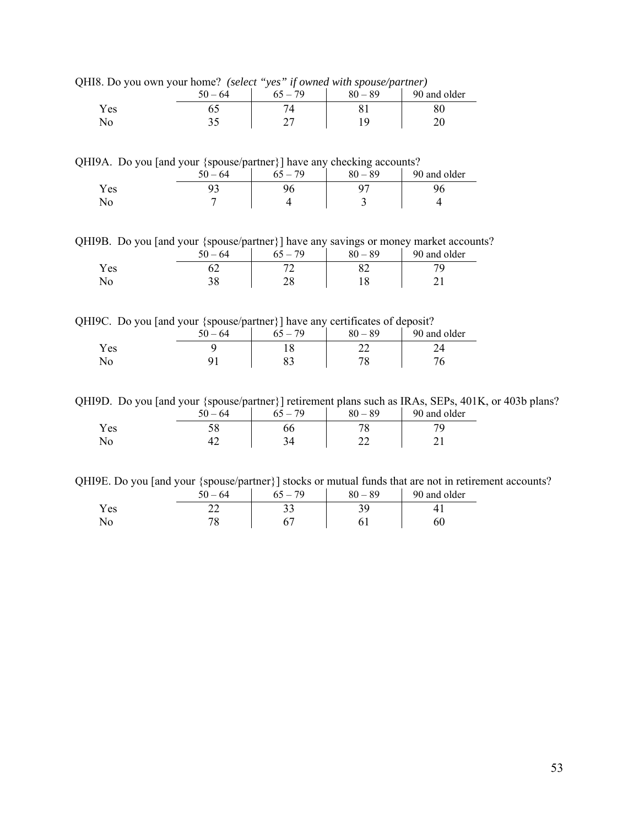QHI8. Do you own your home? *(select "yes" if owned with spouse/partner)* 

| .<br>. . | 50<br>$-64$ | .<br>.<br>70 | _<br>$-89$<br>80 | 90 and older |
|----------|-------------|--------------|------------------|--------------|
| Yes      |             |              |                  | ου           |
|          | ◡           | ⌒冖           |                  |              |

QHI9A. Do you [and your {spouse/partner}] have any checking accounts?

|      | $\sim$<br>$50 - 64$ | --<br>79<br>$\overline{\phantom{0}}$ | _<br>$80 - 89$ | 90 and older |
|------|---------------------|--------------------------------------|----------------|--------------|
| Y es | ~                   |                                      |                |              |
| No   |                     |                                      |                |              |

QHI9B. Do you [and your {spouse/partner}] have any savings or money market accounts?

|            | $50 - 64$ | $-79$<br>65 | $80 - 89$ | 90 and older |
|------------|-----------|-------------|-----------|--------------|
| <b>Yes</b> | <u>_</u>  |             |           |              |
|            |           |             |           |              |

QHI9C. Do you [and your {spouse/partner}] have any certificates of deposit?

| .    | $-$<br>$\sim$<br>64<br>$\overline{\phantom{0}}$ | __<br>79 | $80 - 89$ | 90 and older |
|------|-------------------------------------------------|----------|-----------|--------------|
| Y es |                                                 | 1 O      |           |              |
| 1NO  |                                                 | υ.       | 7C        |              |

QHI9D. Do you [and your {spouse/partner}] retirement plans such as IRAs, SEPs, 401K, or 403b plans?

|      | 64<br>50 | $-79$ | 89<br>80 | 90 and older |
|------|----------|-------|----------|--------------|
| Y es | IJΟ      | bo    | 70       |              |
| ΙNΟ  | . .      |       | __       | - -          |

QHI9E. Do you [and your {spouse/partner}] stocks or mutual funds that are not in retirement accounts?

|                      | 64<br>$\epsilon$ $\alpha$ | 70<br>65 | 89<br>$80 -$ | 90 and older |
|----------------------|---------------------------|----------|--------------|--------------|
| $\mathbf{v}$<br>Y es |                           | ັ        | ັ            |              |
|                      |                           |          |              |              |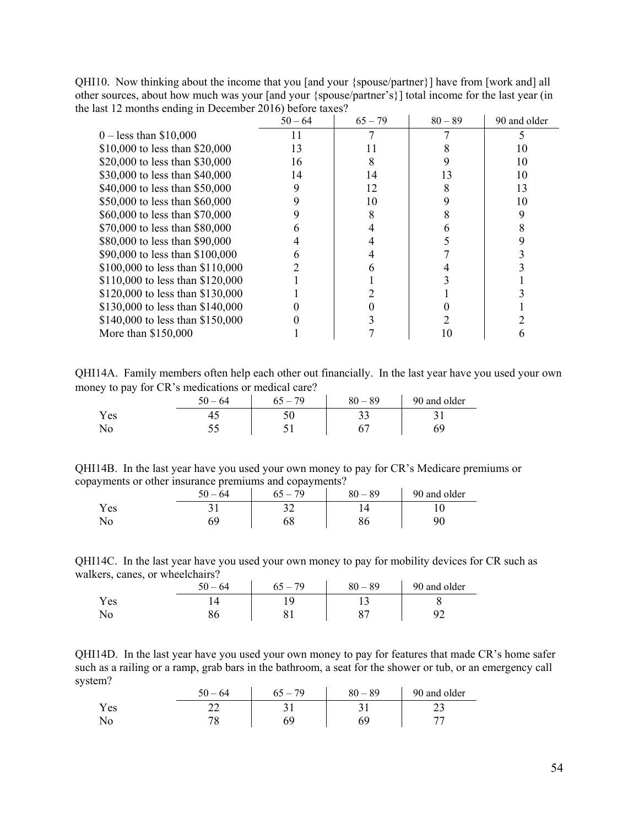|                                  | $50 - 64$ | $65 - 79$ | $80 - 89$ | 90 and older |
|----------------------------------|-----------|-----------|-----------|--------------|
| $0 -$ less than \$10,000         |           |           |           |              |
| \$10,000 to less than \$20,000   | 13        | 11        |           | 10           |
| \$20,000 to less than \$30,000   | 16        |           |           | 10           |
| \$30,000 to less than \$40,000   | 14        | 14        | 13        | 10           |
| \$40,000 to less than \$50,000   | 9         | 12        |           | 13           |
| \$50,000 to less than \$60,000   | 9         | 10        |           | 10           |
| \$60,000 to less than \$70,000   | 9         |           |           |              |
| \$70,000 to less than \$80,000   | 6         |           |           |              |
| \$80,000 to less than \$90,000   |           |           |           |              |
| \$90,000 to less than \$100,000  | 6         |           |           |              |
| \$100,000 to less than \$110,000 |           |           |           |              |
| \$110,000 to less than \$120,000 |           |           |           |              |
| \$120,000 to less than \$130,000 |           |           |           |              |
| \$130,000 to less than \$140,000 |           |           |           |              |
| \$140,000 to less than \$150,000 |           |           |           |              |
| More than $$150,000$             |           |           |           |              |

QHI10. Now thinking about the income that you [and your {spouse/partner}] have from [work and] all other sources, about how much was your [and your {spouse/partner's}] total income for the last year (in the last 12 months ending in December 2016) before taxes?

QHI14A. Family members often help each other out financially. In the last year have you used your own money to pay for CR's medications or medical care?

| -<br>. . | $-64$<br>۲0 | 79<br>$\equiv$<br>んへ | $80 - 89$ | 90 and older |
|----------|-------------|----------------------|-----------|--------------|
| Y es     |             |                      | JJ        |              |
| ΝO       |             | ັ                    |           |              |

QHI14B. In the last year have you used your own money to pay for CR's Medicare premiums or copayments or other insurance premiums and copayments?

|           | $50 - 64$ | . 79<br>` — | $80 - 89$ | 90 and older |
|-----------|-----------|-------------|-----------|--------------|
| Y es      |           | ∼           |           |              |
| <b>NU</b> |           | 0õ          | ou        | ۵ſ           |

QHI14C. In the last year have you used your own money to pay for mobility devices for CR such as walkers, canes, or wheelchairs?

|            | ۲0<br>$-64$ | 79 | 89<br>80 | 90 and older |
|------------|-------------|----|----------|--------------|
| Y es       |             | c  |          |              |
| <b>AVA</b> | ov.         |    | oπ       |              |

QHI14D. In the last year have you used your own money to pay for features that made CR's home safer such as a railing or a ramp, grab bars in the bathroom, a seat for the shower or tub, or an emergency call system?

|      | $50 - 64$ | $-79$ | $80 - 89$ | 90 and older |
|------|-----------|-------|-----------|--------------|
| Y es | ∠∠        |       |           | ر بے         |
| ΝO   | ПC<br>◡   |       | 69        |              |